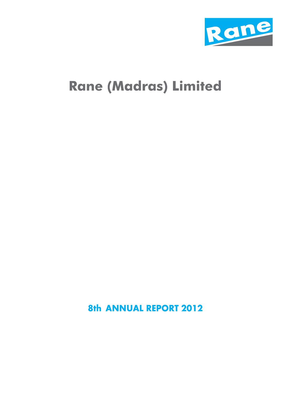

## **Rane (Madras) Limited**

**8th ANNUAL REPORT 2012**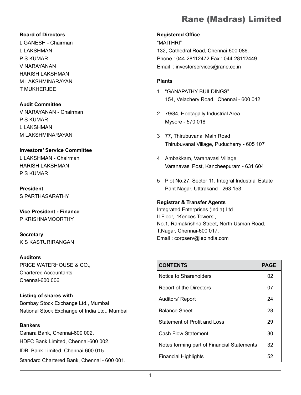#### **Board of Directors**

L GANESH - Chairman L LAKSHMAN P S KUMAR V NARAYANAN HARISH LAKSHMAN M LAKSHMINARAYAN T MUKHERJEE

#### **Audit Committee**

V NARAYANAN - Chairman P S KUMAR L LAKSHMAN M LAKSHMINARAYAN

### **Investors' Service Committee**

L LAKSHMAN - Chairman HARISH LAKSHMAN P S KUMAR

**President** S PARTHASARATHY

**Vice President - Finance** P KRISHNAMOORTHY

**Secretary** K S KASTURIRANGAN

#### **Auditors**

PRICE WATERHOUSE & CO., Chartered Accountants Chennai-600 006

**Listing of shares with** Bombay Stock Exchange Ltd., Mumbai National Stock Exchange of India Ltd., Mumbai

#### **Bankers**

Canara Bank, Chennai-600 002. HDFC Bank Limited, Chennai-600 002. IDBI Bank Limited, Chennai-600 015. Standard Chartered Bank, Chennai - 600 001.

#### **Registered Office**

"MAITHRI" 132, Cathedral Road, Chennai-600 086. Phone : 044-28112472 Fax : 044-28112449 Email : investorservices@rane.co.in

#### **Plants**

- 1 "GANAPATHY BUILDINGS" 154, Velachery Road, Chennai - 600 042
- 2 79/84, Hootagally Industrial Area Mysore - 570 018
- 3 77, Thirubuvanai Main Road Thirubuvanai Village, Puducherry - 605 107
- 4 Ambakkam, Varanavasi Village Varanavasi Post, Kancheepuram - 631 604
- 5 Plot No.27, Sector 11, Integral Industrial Estate Pant Nagar, Utttrakand - 263 153

#### **Registrar & Transfer Agents**

Integrated Enterprises (India) Ltd., II Floor, 'Kences Towers', No.1, Ramakrishna Street, North Usman Road, T.Nagar, Chennai-600 017. Email : corpserv@iepindia.com

| <b>CONTENTS</b>                            | <b>PAGE</b> |
|--------------------------------------------|-------------|
| Notice to Shareholders                     | 02          |
| Report of the Directors                    | 07          |
| Auditors' Report                           | 24          |
| <b>Balance Sheet</b>                       | 28          |
| Statement of Profit and Loss               | 29          |
| Cash Flow Statement                        | 30          |
| Notes forming part of Financial Statements | 32          |
| <b>Financial Highlights</b>                | 52          |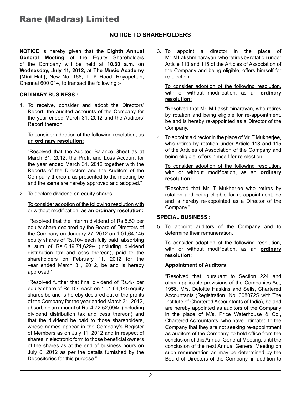#### **NOTICE TO SHAREHOLDERS**

**NOTICE** is hereby given that the **Eighth Annual General Meeting** of the Equity Shareholders of the Company will be held at **10.30 a.m.** on **Wednesday, July 11, 2012,** at **The Music Academy (Mini Hall),** New No. 168, T.T.K Road, Royapettah, Chennai 600 014, to transact the following :-

#### **ORDINARY BUSINESS :**

1. To receive, consider and adopt the Directors' Report, the audited accounts of the Company for the year ended March 31, 2012 and the Auditors' Report thereon.

#### To consider adoption of the following resolution, as an **ordinary resolution:**

"Resolved that the Audited Balance Sheet as at March 31, 2012, the Profit and Loss Account for the year ended March 31, 2012 together with the Reports of the Directors and the Auditors of the Company thereon, as presented to the meeting be and the same are hereby approved and adopted."

2. To declare dividend on equity shares

#### To consider adoption of the following resolution with or without modification, **as an ordinary resolution:**

"Resolved that the interim dividend of Rs.5.50 per equity share declared by the Board of Directors of the Company on January 27, 2012 on 1,01,64,145 equity shares of Rs.10/- each fully paid, absorbing a sum of Rs.6,49,71,629/- (including dividend distribution tax and cess thereon), paid to the shareholders on February 11, 2012 for the year ended March 31, 2012, be and is hereby approved."

"Resolved further that final dividend of Rs.4/- per equity share of Rs.10/- each on 1,01,64,145 equity shares be and is hereby declared out of the profits of the Company for the year ended March 31, 2012, absorbing an amount of Rs. 4,72,52,094/- (including dividend distribution tax and cess thereon) and that the dividend be paid to those shareholders, whose names appear in the Company's Register of Members as on July 11, 2012 and in respect of shares in electronic form to those beneficial owners of the shares as at the end of business hours on July 6, 2012 as per the details furnished by the Depositories for this purpose."

3. To appoint a director in the place of Mr. M Lakshminarayan, who retires by rotation under Article 113 and 115 of the Articles of Association of the Company and being eligible, offers himself for re-election.

#### To consider adoption of the following resolution, with or without modification, as an **ordinary resolution:**

"Resolved that Mr. M Lakshminarayan, who retires by rotation and being eligible for re-appointment, be and is hereby re-appointed as a Director of the Company."

4. To appoint a director in the place of Mr. T Mukherjee, who retires by rotation under Article 113 and 115 of the Articles of Association of the Company and being eligible, offers himself for re-election.

To consider adoption of the following resolution, with or without modification, as an **ordinary resolution:**

"Resolved that Mr. T Mukherjee who retires by rotation and being eligible for re-appointment, be and is hereby re-appointed as a Director of the Company."

#### **SPECIAL BUSINESS :**

5. To appoint auditors of the Company and to determine their remuneration.

#### To consider adoption of the following resolution, with or without modification, as an **ordinary resolution:**

#### **Appointment of Auditors**

"Resolved that, pursuant to Section 224 and other applicable provisions of the Companies Act, 1956, M/s. Deloitte Haskins and Sells, Chartered Accountants (Registration No. 008072S with The Institute of Chartered Accountants of India), be and are hereby appointed as auditors of the Company in the place of M/s. Price Waterhouse & Co., Chartered Accountants, who have intimated to the Company that they are not seeking re-appointment as auditors of the Company, to hold office from the conclusion of this Annual General Meeting, until the conclusion of the next Annual General Meeting on such remuneration as may be determined by the Board of Directors of the Company, in addition to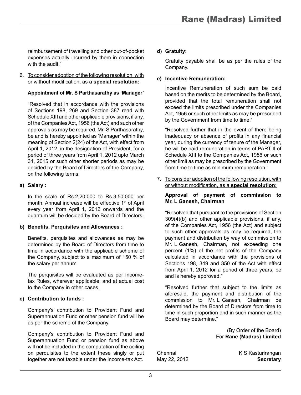reimbursement of travelling and other out-of-pocket expenses actually incurred by them in connection with the audit."

6. To consider adoption of the following resolution, with or without modification, as a **special resolution:** 

#### **Appointment of Mr. S Parthasarathy as 'Manager'**

"Resolved that in accordance with the provisions of Sections 198, 269 and Section 387 read with Schedule XIII and other applicable provisions, if any, of the Companies Act, 1956 (the Act) and such other approvals as may be required, Mr. S Parthasarathy, be and is hereby appointed as 'Manager' within the meaning of Section 2(24) of the Act, with effect from April 1, 2012, in the designation of President, for a period of three years from April 1, 2012 upto March 31, 2015 or such other shorter periods as may be decided by the Board of Directors of the Company, on the following terms:

#### **a) Salary :**

In the scale of Rs.2,20,000 to Rs.3,50,000 per month. Annual increase will be effective 1<sup>st</sup> of April every year from April 1, 2012 onwards and the quantum will be decided by the Board of Directors.

#### **b) Benefits, Perquisites and Allowances :**

Benefits, perquisites and allowances as may be determined by the Board of Directors from time to time in accordance with the applicable scheme of the Company, subject to a maximum of 150 % of the salary per annum.

The perquisites will be evaluated as per Incometax Rules, wherever applicable, and at actual cost to the Company in other cases.

#### **c) Contribution to funds :**

Company's contribution to Provident Fund and Superannuation Fund or other pension fund will be as per the scheme of the Company.

Company's contribution to Provident Fund and Superannuation Fund or pension fund as above will not be included in the computation of the ceiling on perquisites to the extent these singly or put together are not taxable under the Income-tax Act.

#### **d) Gratuity:**

Gratuity payable shall be as per the rules of the Company.

#### **e) Incentive Remuneration:**

Incentive Remuneration of such sum be paid based on the merits to be determined by the Board, provided that the total remuneration shall not exceed the limits prescribed under the Companies Act, 1956 or such other limits as may be prescribed by the Government from time to time."

"Resolved further that in the event of there being inadequacy or absence of profits in any financial year, during the currency of tenure of the Manager, he will be paid remuneration in terms of PART II of Schedule XIII to the Companies Act, 1956 or such other limit as may be prescribed by the Government from time to time as minimum remuneration."

7. To consider adoption of the following resolution, with or without modification, as a **special resolution:**

#### **Approval of payment of commission to Mr. L Ganesh, Chairman**

"Resolved that pursuant to the provisions of Section 309(4)(b) and other applicable provisions, if any, of the Companies Act, 1956 (the Act) and subject to such other approvals as may be required, the payment and distribution by way of commission to Mr.   L   Ganesh, Chairman, not exceeding one percent (1%) of the net profits of the Company calculated in accordance with the provisions of Sections 198, 349 and 350 of the Act with effect from April 1, 2012 for a period of three years, be and is hereby approved."

"Resolved further that subject to the limits as aforesaid, the payment and distribution of the commission to Mr. L Ganesh, Chairman be determined by the Board of Directors from time to time in such proportion and in such manner as the Board may determine."

> (By Order of the Board) For **Rane (Madras) Limited**

Chennai K S Kasturirangan May 22, 2012 **Secretary**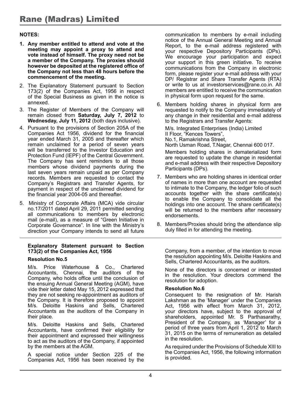#### **NOTES:**

- **1. Any member entitled to attend and vote at the meeting may appoint a proxy to attend and vote instead of himself. The proxy need not be a member of the Company. The proxies should however be deposited at the registered office of the Company not less than 48 hours before the commencement of the meeting.**
- 2. The Explanatory Statement pursuant to Section 173(2) of the Companies Act, 1956 in respect of the Special Business as given in the notice is annexed.
- 3. The Register of Members of the Company will remain closed from **Saturday, July 7, 2012** to **Wednesday, July 11, 2012** (both days inclusive).
- 4. Pursuant to the provisions of Section 205A of the Companies Act 1956, dividend for the financial year ended March 31, 2005 and thereafter which remain unclaimed for a period of seven years will be transferred to the Investor Education and Protection Fund (IEPF) of the Central Government. The Company has sent reminders to all those members whose dividend payments during the last seven years remain unpaid as per Company records. Members are requested to contact the Company's Registrars and Transfer Agents, for payment in respect of the unclaimed dividend for the financial year 2004-05 and thereafter.
- 5. Ministry of Corporate Affairs (MCA) vide circular no.17/2011 dated April 29, 2011 permitted sending all communications to members by electronic mail (e-mail), as a measure of "Green Initiative in Corporate Governance". In line with the Ministry's direction your Company intends to send all future

#### **Explanatory Statement pursuant to Section 173(2) of the Companies Act, 1956**

#### **Resolution No.5**

M/s. Price Waterhouse & Co., Chartered Accountants, Chennai, the auditors of the Company, who holds office until the conclusion of the ensuing Annual General Meeting (AGM), have vide their letter dated May 15, 2012 expressed that they are not seeking re-appointment as auditors of the Company. It is therefore proposed to appoint M/s. Deloitte Haskins and Sells, Chartered Accountants as the auditors of the Company in their place.

M/s. Deloitte Haskins and Sells, Chartered Accountants, have confirmed their eligibility for their appointment and expressed their willingness to act as the auditors of the Company, if appointed by the members at the AGM.

A special notice under Section 225 of the Companies Act, 1956 has been received by the

communication to members by e-mail including notice of the Annual General Meeting and Annual Report, to the e-mail address registered with your respective Depository Participants (DPs). We encourage your participation and expect your support in this green initiative. To receive communications from the Company in electronic form, please register your e-mail address with your DP/ Registrar and Share Transfer Agents (RTA) or write to us at investorservices@rane.co.in. All members are entitled to receive the communication in physical form upon request for the same.

6. Members holding shares in physical form are requested to notify to the Company immediately of any change in their residential and e-mail address to the Registrars and Transfer Agents:

M/s. Integrated Enterprises (India) Limited II Floor, "Kences Towers", No.1, Ramakrishna Street, North Usman Road, T.Nagar, Chennai 600 017.

Members holding shares in dematerialized form are requested to update the change in residential and e-mail address with their respective Depository Participants (DPs).

- 7. Members who are holding shares in identical order of names in more than one account are requested to intimate to the Company, the ledger folio of such accounts together with the share certificate(s) to enable the Company to consolidate all the holdings into one account. The share certificate(s) will be returned to the members after necessary endorsements.
- 8. Members/Proxies should bring the attendance slip duly filled in for attending the meeting.

Company, from a member, of the intention to move the resolution appointing M/s. Deloitte Haskins and Sells, Chartered Accountants, as the auditors.

None of the directors is concerned or interested in the resolution. Your directors commend the resolution for adoption.

#### **Resolution No.6**

Consequent to the resignation of Mr. Harish Lakshman as the 'Manager' under the Companies Act, 1956 with effect from March 31, 2012, your directors have, subject to the approval of shareholders, appointed Mr. S Parthasarathy, President of the Company, as 'Manager' for a period of three years from April 1, 2012 to March 31, 2015 on the terms of remuneration as detailed in the resolution.

As required under the Provisions of Schedule XIII to the Companies Act, 1956, the following information is provided.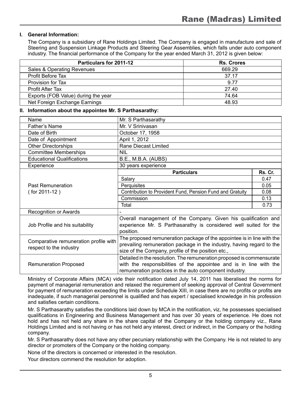#### **I. General Information:**

The Company is a subsidiary of Rane Holdings Limited. The Company is engaged in manufacture and sale of Steering and Suspension Linkage Products and Steering Gear Assemblies, which falls under auto component industry. The financial performance of the Company for the year ended March 31, 2012 is given below:

| <b>Particulars for 2011-12</b>      | <b>Rs. Crores</b> |
|-------------------------------------|-------------------|
| Sales & Operating Revenues          | 669.29            |
| Profit Before Tax                   | 37.17             |
| Provision for Tax                   | 9.77              |
| <b>Profit After Tax</b>             | 27.40             |
| Exports (FOB Value) during the year | 74.64             |
| Net Foreign Exchange Earnings       | 48.93             |

#### **II. Information about the appointee Mr. S Parthasarathy:**

| Name                                                             | Mr. S Parthasarathy                                                                                                                                                                                   |         |
|------------------------------------------------------------------|-------------------------------------------------------------------------------------------------------------------------------------------------------------------------------------------------------|---------|
| Father's Name                                                    | Mr. V Srinivasan                                                                                                                                                                                      |         |
| Date of Birth                                                    | October 17, 1958                                                                                                                                                                                      |         |
| Date of Appointment                                              | April 1, 2012                                                                                                                                                                                         |         |
| <b>Other Directorships</b>                                       | Rane Diecast Limited                                                                                                                                                                                  |         |
| <b>Committee Memberships</b>                                     | <b>NIL</b>                                                                                                                                                                                            |         |
| <b>Educational Qualifications</b>                                | B.E., M.B.A. (AUBS)                                                                                                                                                                                   |         |
| Experience                                                       | 30 years experience                                                                                                                                                                                   |         |
|                                                                  | <b>Particulars</b>                                                                                                                                                                                    | Rs. Cr. |
|                                                                  | Salary                                                                                                                                                                                                | 0.47    |
| <b>Past Remuneration</b>                                         | Perquisites                                                                                                                                                                                           | 0.05    |
| $($ for 2011-12)                                                 | Contribution to Provident Fund, Pension Fund and Gratuity                                                                                                                                             | 0.08    |
|                                                                  | Commission                                                                                                                                                                                            | 0.13    |
|                                                                  | Total                                                                                                                                                                                                 | 0.73    |
| Recognition or Awards                                            |                                                                                                                                                                                                       |         |
| Job Profile and his suitability                                  | Overall management of the Company. Given his qualification and<br>experience Mr. S Parthasarathy is considered well suited for the<br>position.                                                       |         |
| Comparative remuneration profile with<br>respect to the industry | The proposed remuneration package of the appointee is in line with the<br>prevailing remuneration package in the industry, having regard to the<br>size of the Company, profile of the position etc., |         |
| Remuneration Proposed                                            | Detailed in the resolution. The remuneration proposed is commensurate<br>with the responsibilities of the appointee and is in line with the<br>remuneration practices in the auto component industry. |         |

Ministry of Corporate Affairs (MCA) vide their notification dated July 14, 2011 has liberalised the norms for payment of managerial remuneration and relaxed the requirement of seeking approval of Central Government for payment of remuneration exceeding the limits under Schedule XIII, in case there are no profits or profits are inadequate, if such managerial personnel is qualified and has expert / specialised knowledge in his profession and satisfies certain conditions.

Mr. S Parthasarathy satisfies the conditions laid down by MCA in the notification, viz, he possesses specialised qualifications in Engineering and Business Management and has over 30 years of experience. He does not hold and has not held any share in the share capital of the Company or the holding company viz., Rane Holdings Limited and is not having or has not held any interest, direct or indirect, in the Company or the holding company.

Mr. S Parthasarathy does not have any other pecuniary relationship with the Company. He is not related to any director or promoters of the Company or the holding company.

None of the directors is concerned or interested in the resolution.

Your directors commend the resolution for adoption.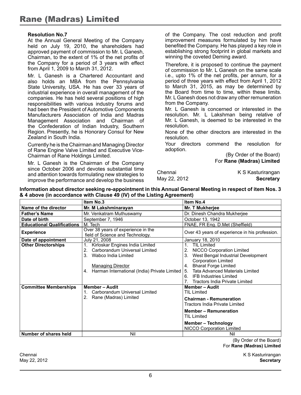#### **Resolution No.7**

At the Annual General Meeting of the Company held on July 19, 2010, the shareholders had approved payment of commission to Mr. L Ganesh, Chairman, to the extent of 1% of the net profits of the Company for a period of 3 years with effect from April 1, 2009 to March 31, 2012.

Mr. L Ganesh is a Chartered Accountant and also holds an MBA from the Pennsylvania State University, USA. He has over 33 years of industrial experience in overall management of the companies. He has held several positions of high responsibilities with various industry forums and had been the President of Automotive Components Manufacturers Association of India and Madras Management Association and Chairman of the Confederation of Indian Industry, Southern Region. Presently, he is Honorary Consul for New Zealand in South India.

Currently he is the Chairman and Managing Director of Rane Engine Valve Limited and Executive Vice-Chairman of Rane Holdings Limited.

Mr. L Ganesh is the Chairman of the Company since October 2006 and devotes substantial time and attention towards formulating new strategies to improve the performance and develop the business

of the Company. The cost reduction and profit improvement measures formulated by him have benefited the Company. He has played a key role in establishing strong footprint in global markets and winning the coveted Deming award.

Therefore, it is proposed to continue the payment of commission to Mr. L Ganesh on the same scale i.e., upto 1% of the net profits, per annum, for a period of three years with effect from April 1, 2012 to March 31, 2015, as may be determined by the Board from time to time, within these limits. Mr. L Ganesh does not draw any other remuneration from the Company.

Mr. L Ganesh is concerned or interested in the resolution. Mr. L Lakshman being relative of Mr. L Ganesh, is deemed to be interested in the resolution.

None of the other directors are interested in the resolution.

Your directors commend the resolution for adoption.

(By Order of the Board) For **Rane (Madras) Limited**

| Chennai      | K S Kasturirangan |
|--------------|-------------------|
| May 22, 2012 | <b>Secretary</b>  |

**Information about director seeking re-appointment in this Annual General Meeting in respect of item Nos. 3 & 4 above (in accordance with Clause 49 (IV) of the Listing Agreement)**

|                                   | Item No.3                                                                                                                                                                                               | Item No.4                                                                                                                                                                                                                                                                            |  |
|-----------------------------------|---------------------------------------------------------------------------------------------------------------------------------------------------------------------------------------------------------|--------------------------------------------------------------------------------------------------------------------------------------------------------------------------------------------------------------------------------------------------------------------------------------|--|
| Name of the director              | Mr. M Lakshminarayan                                                                                                                                                                                    | Mr. T Mukherjee                                                                                                                                                                                                                                                                      |  |
| <b>Father's Name</b>              | Mr. Venkatram Muthuswamy                                                                                                                                                                                | Dr. Dinesh Chandra Mukherjee                                                                                                                                                                                                                                                         |  |
| Date of birth                     | September 7, 1946                                                                                                                                                                                       | October 13, 1942                                                                                                                                                                                                                                                                     |  |
| <b>Educational Qualifications</b> | M. Tech                                                                                                                                                                                                 | FNAE, FR Eng. D.Met (Sheffield)                                                                                                                                                                                                                                                      |  |
| <b>Experience</b>                 | Over 38 years of experience in the<br>field of Science and Technology.                                                                                                                                  | Over 43 years of experience in his profession.                                                                                                                                                                                                                                       |  |
| Date of appointment               | July 21, 2008                                                                                                                                                                                           | January 18, 2010                                                                                                                                                                                                                                                                     |  |
| <b>Other Directorships</b>        | Kirloskar Engines India Limited<br>$\mathbf{1}$ .<br>Carborandum Universal Limited<br>2.<br>3.<br>Wabco India Limited<br><b>Managing Director</b><br>Harman International (India) Private Limited<br>4. | <b>TIL Limited</b><br><b>NICCO Corporation Limited</b><br>2.<br>West Bengal Industrial Development<br><b>Corporation Limited</b><br><b>Bharat Forge Limited</b><br>4.<br>Tata Advanced Materials Limited<br>5.<br>6. IFB Industries Limited<br><b>Tractors India Private Limited</b> |  |
| <b>Committee Memberships</b>      | <b>Member-Audit</b><br>Carborandum Universal Limited<br>Rane (Madras) Limited<br>2.                                                                                                                     | <b>Member - Audit</b><br><b>TIL Limited</b><br><b>Chairman - Remuneration</b><br>Tractors India Private Limited<br><b>Member - Remuneration</b><br>TIL Limited<br>Member - Technology<br><b>NICCO Corporation Limited</b>                                                            |  |
| Number of shares held             | Nil                                                                                                                                                                                                     | Nil<br>$\sim$ $\sim$ $\sim$ $\sim$ $\sim$                                                                                                                                                                                                                                            |  |

(By Order of the Board) For **Rane (Madras) Limited**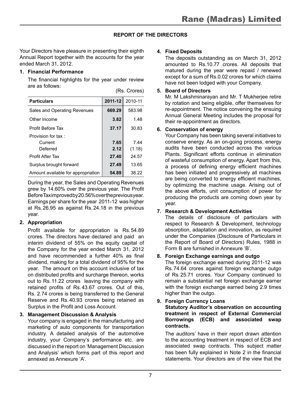#### **REPORT OF THE DIRECTORS**

Your Directors have pleasure in presenting their eighth Annual Report together with the accounts for the year ended March 31, 2012.

#### **1. Financial Performance**

The financial highlights for the year under review are as follows: (Rs. Crores)

| <b>Particulars</b>                 | 2011-12 | 2010-11 |
|------------------------------------|---------|---------|
| Sales and Operating Revenues       | 669.29  | 583.98  |
| Other Income                       | 3.82    | 1.48    |
| Profit Before Tax                  | 37.17   | 30.83   |
| Provision for tax :                |         |         |
| Current                            | 7.65    | 7.44    |
| Deferred                           | 2.12    | (1.18)  |
| Profit After Tax                   | 27.40   | 24.57   |
| Surplus brought forward            | 27.49   | 13.65   |
| Amount available for appropriation | 54.89   | 38.22   |

During the year, the Sales and Operating Revenues grew by 14.60% over the previous year. The Profit Before Tax improved by 20.56% over the previous year. Earnings per share for the year 2011-12 was higher at Rs.26.95 as against Rs.24.18 in the previous year.

#### **2. Appropriation**

Profit available for appropriation is Rs.54.89 crores. The directors have declared and paid an interim dividend of 55% on the equity capital of the Company for the year ended March 31, 2012 and have recommended a further 40% as final dividend, making for a total dividend of 95% for the year. The amount on this account inclusive of tax on distributed profits and surcharge thereon, works out to Rs.11.22 crores leaving the company with retained profits of Rs.43.67 crores. Out of this, Rs. 2.74 crores is being transferred to the General Reserve and Rs.40.93 crores being retained as Surplus in the Profit and Loss Account.

#### **3. Management Discussion & Analysis**

Your company is engaged in the manufacturing and marketing of auto components for transportation industry. A detailed analysis of the automotive industry, your Company's performance etc. are discussed in the report on 'Management Discussion and Analysis' which forms part of this report and annexed as Annexure 'A'.

#### **4. Fixed Deposits**

The deposits outstanding as on March 31, 2012 amounted to Rs.10.77 crores. All deposits that matured during the year were repaid / renewed except for a sum of Rs.0.02 crores for which claims have not been lodged with your Company.

#### **5. Board of Directors**

Mr. M Lakshminarayan and Mr. T Mukherjee retire by rotation and being eligible, offer themselves for re-appointment. The notice convening the ensuing Annual General Meeting includes the proposal for their re-appointment as directors.

#### **6. Conservation of energy**

Your Company has been taking several initiatives to conserve energy. As an on-going process, energy audits have been conducted across the various Plants. Significant efforts continue in elimination of wasteful consumption of energy. Apart from this, a process of defining energy efficient machines has been initiated and progressively all machines are being converted to energy efficient machines, by optimizing the machine usage. Arising out of the above efforts, unit consumption of power for producing the products are coming down year by year.

#### **7. Research & Development Activities**

The details of disclosure of particulars with respect to Research & Development, technology absorption, adaptation and innovation, as required under the Companies (Disclosure of Particulars in the Report of Board of Directors) Rules, 1988 in Form B are furnished in Annexure 'B'.

#### **8. Foreign Exchange earnings and outgo**

The foreign exchange earned during 2011-12 was Rs.74.64 crores against foreign exchange outgo of Rs.25.71 crores. Your Company continued to remain a substantial net foreign exchange earner with the foreign exchange earned being 2.9 times higher than the outgo.

**9. Foreign Currency Loans**

#### **Statutory Auditor's observation on accounting treatment in respect of External Commercial Borrowings (ECB) and associated swap contracts.**

The auditors' have in their report drawn attention to the accounting treatment in respect of ECB and associated swap contracts. This subject matter has been fully explained in Note 2 in the financial statements. Your directors are of the view that the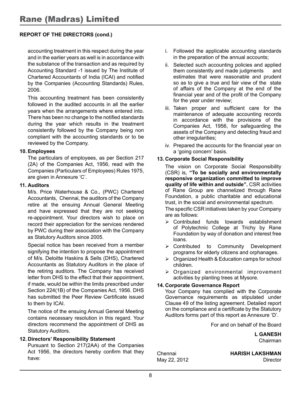#### **REPORT OF THE DIRECTORS (cond.)**

accounting treatment in this respect during the year and in the earlier years as well is in accordance with the substance of the transaction and as required by Accounting Standard -1 issued by The Institute of Chartered Accountants of India (ICAI) and notified by the Companies (Accounting Standards) Rules, 2006.

This accounting treatment has been consistently followed in the audited accounts in all the earlier years when the arrangements where entered into. There has been no change to the notified standards during the year which results in the treatment consistently followed by the Company being non compliant with the accounting standards or to be reviewed by the Company.

#### **10. Employees**

The particulars of employees, as per Section 217 (2A) of the Companies Act, 1956, read with the Companies (Particulars of Employees) Rules 1975, are given in Annexure 'C'.

#### **11. Auditors**

M/s. Price Waterhouse & Co., (PWC) Chartered Accountants, Chennai, the auditors of the Company retire at the ensuing Annual General Meeting and have expressed that they are not seeking re-appointment. Your directors wish to place on record their appreciation for the services rendered by PWC during their association with the Company as Statutory Auditors since 2005.

Special notice has been received from a member signifying the intention to propose the appointment of M/s. Deloitte Haskins & Sells (DHS), Chartered Accountants as Statutory Auditors in the place of the retiring auditors. The Company has received letter from DHS to the effect that their appointment, if made, would be within the limits prescribed under Section 224(1B) of the Companies Act, 1956. DHS has submitted the Peer Review Certificate issued to them by ICAI.

The notice of the ensuing Annual General Meeting contains necessary resolution in this regard. Your directors recommend the appointment of DHS as Statutory Auditors.

#### **12. Directors' Responsibility Statement**

Pursuant to Section 217(2AA) of the Companies Act 1956, the directors hereby confirm that they have:

- i. Followed the applicable accounting standards in the preparation of the annual accounts;
- ii. Selected such accounting policies and applied them consistently and made judgments and estimates that were reasonable and prudent so as to give a true and fair view of the state of affairs of the Company at the end of the financial year and of the profit of the Company for the year under review;
- iii. Taken proper and sufficient care for the maintenance of adequate accounting records in accordance with the provisions of the Companies Act, 1956, for safeguarding the assets of the Company and detecting fraud and other irregularities;
- iv. Prepared the accounts for the financial year on a 'going concern' basis.

#### **13. Corporate Social Responsibility**

The vision on Corporate Social Responsibility (CSR) is, **"To be socially and environmentally responsive organization committed to improve quality of life within and outside".** CSR activities of Rane Group are channelized through Rane Foundation, a public charitable and educational trust, in the social and environmental spectrum.

The specific CSR initiatives taken by your Company are as follows:

- Contributed funds towards establishment of Polytechnic College at Trichy by Rane Foundation by way of donation and interest free loans.
- > Contributed to Community Development programs for elderly citizens and orphanages.
- $\triangleright$  Organized Health & Education camps for school children.
- > Organized environmental improvement activities by planting trees at Mysore.

#### **14. Corporate Governance Report**

Your Company has complied with the Corporate Governance requirements as stipulated under Clause 49 of the listing agreement. Detailed report on the compliance and a certificate by the Statutory Auditors forms part of this report as Annexure 'D'.

For and on behalf of the Board

 **L GANESH** Chairman

Chennai **HARISH LAKSHMAN** May 22, 2012 Director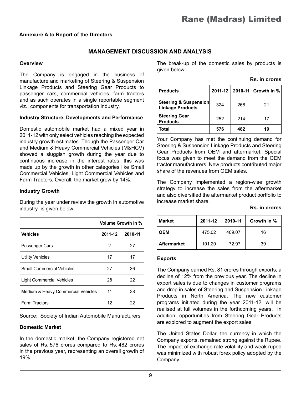#### **Annexure A to Report of the Directors**

#### **Management Discussion and Analysis**

#### **Overview**

The Company is engaged in the business of manufacture and marketing of Steering & Suspension Linkage Products and Steering Gear Products to passenger cars, commercial vehicles, farm tractors and as such operates in a single reportable segment viz., components for transportation industry.

#### **Industry Structure, Developments and Performance**

Domestic automobile market had a mixed year in 2011-12 with only select vehicles reaching the expected industry growth estimates. Though the Passenger Car and Medium & Heavy Commercial Vehicles (M&HCV) showed a sluggish growth during the year due to continuous increase in the interest rates, this was made up by the growth in other categories like Small Commercial Vehicles, Light Commercial Vehicles and Farm Tractors. Overall, the market grew by 14%.

#### **Industry Growth**

During the year under review the growth in automotive industry is given below:-

|                                    | Volume Growth in % |         |
|------------------------------------|--------------------|---------|
| <b>Vehicles</b>                    | 2011-12            | 2010-11 |
| Passenger Cars                     | 2                  | 27      |
| <b>Utility Vehicles</b>            | 17                 | 17      |
| Small Commercial Vehicles          | 27                 | 36      |
| <b>Light Commercial Vehicles</b>   | 28                 | 22      |
| Medium & Heavy Commercial Vehicles | 11                 | 38      |
| <b>Farm Tractors</b>               | 12                 | 22      |

Source: Society of Indian Automobile Manufacturers

#### **Domestic Market**

In the domestic market, the Company registered net sales of Rs.  576 crores compared to Rs.  482 crores in the previous year, representing an overall growth of 19%.

The break-up of the domestic sales by products is given below:

| <b>Products</b>                                  |     |     | 2011-12 2010-11 Growth in % |
|--------------------------------------------------|-----|-----|-----------------------------|
| Steering & Suspension<br><b>Linkage Products</b> | 324 | 268 | 21                          |
| <b>Steering Gear</b><br><b>Products</b>          | 252 | 214 | 17                          |
| Total                                            | 576 | 482 | 19                          |

Your Company has met the continuing demand for Steering & Suspension Linkage Products and Steering Gear Products from OEM and aftermarket. Special focus was given to meet the demand from the OEM tractor manufacturers. New products contributed major share of the revenues from OEM sales.

The Company implemented a region-wise growth strategy to increase the sales from the aftermarket and also diversified the aftermarket product portfolio to increase market share.

| <b>Market</b>      | 2011-12 | 2010-11 | Growth in % |
|--------------------|---------|---------|-------------|
| <b>OEM</b>         | 475.02  | 409.07  | 16          |
| <b>Aftermarket</b> | 101.20  | 72.97   | 39          |

#### **Exports**

The Company earned Rs. 81 crores through exports, a decline of 12% from the previous year. The decline in export sales is due to changes in customer programs and drop in sales of Steering and Suspension Linkage Products in North America. The new customer programs initiated during the year 2011-12, will be realised at full volumes in the forthcoming years. In addition, opportunities from Steering Gear Products are explored to augment the export sales.

The United States Dollar, the currency in which the Company exports, remained strong against the Rupee. The impact of exchange rate volatility and weak rupee was minimized with robust forex policy adopted by the Company.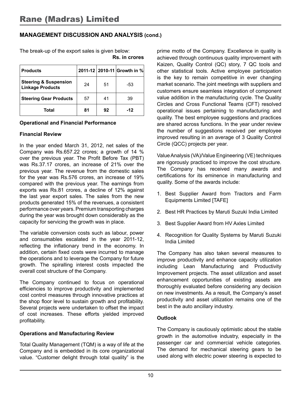#### **Management Discussion and Analysis (cond.)**

The break-up of the export sales is given below: **Rs. in crores**

| <b>Products</b>                                             |    |    | 2011-12 2010-11 Growth in % |
|-------------------------------------------------------------|----|----|-----------------------------|
| <b>Steering &amp; Suspension</b><br><b>Linkage Products</b> | 24 | 51 | -53                         |
| <b>Steering Gear Products</b>                               | 57 | 41 | 39                          |
| Total                                                       | 81 | 92 | $-12$                       |

#### **Operational and Financial Performance**

#### **Financial Review**

In the year ended March 31, 2012, net sales of the Company was Rs.657.22 crores; a growth of 14 % over the previous year. The Profit Before Tax (PBT) was Rs.37.17 crores, an increase of 21% over the previous year. The revenue from the domestic sales for the year was Rs.576 crores, an increase of 19% compared with the previous year. The earnings from exports was Rs.81 crores, a decline of 12% against the last year export sales. The sales from the new products generated 15% of the revenues, a consistent performance over years. Premium transporting charges during the year was brought down considerably as the capacity for servicing the growth was in place.

The variable conversion costs such as labour, power and consumables escalated in the year 2011-12, reflecting the inflationary trend in the economy. In addition, certain fixed costs were incurred to manage the operations and to leverage the Company for future growth. The spiralling interest costs impacted the overall cost structure of the Company.

The Company continued to focus on operational efficiencies to improve productivity and implemented cost control measures through innovative practices at the shop floor level to sustain growth and profitability. Several projects were undertaken to offset the impact of cost increases. These efforts yielded improved profitability.

#### **Operations and Manufacturing Review**

Total Quality Management (TQM) is a way of life at the Company and is embedded in its core organizational value. "Customer delight through total quality" is the prime motto of the Company. Excellence in quality is achieved through continuous quality improvement with Kaizen, Quality Control (QC) story, 7 QC tools and other statistical tools. Active employee participation is the key to remain competitive in ever changing market scenario. The joint meetings with suppliers and customers ensure seamless integration of component value addition in the manufacturing cycle. The Quality Circles and Cross Functional Teams (CFT) resolved operational issues pertaining to manufacturing and quality. The best employee suggestions and practices are shared across functions. In the year under review the number of suggestions received per employee improved resulting in an average of 3 Quality Control Circle (QCC) projects per year.

Value Analysis (VA)/Value Engineering (VE) techniques are rigorously practiced to improve the cost structure. The Company has received many awards and certifications for its eminence in manufacturing and quality. Some of the awards include:

- 1. Best Supplier Award from Tractors and Farm Equipments Limited [TAFE]
- 2. Best HR Practices by Maruti Suzuki India Limited
- 3. Best Supplier Award from HV Axles Limited
- 4. Recognition for Quality Systems by Maruti Suzuki India Limited

The Company has also taken several measures to improve productivity and enhance capacity utilization including Lean Manufacturing and Productivity Improvement projects. The asset utilization and asset enhancement opportunities of existing assets are thoroughly evaluated before considering any decision on new investments. As a result, the Company's asset productivity and asset utilization remains one of the best in the auto ancillary industry.

#### **Outlook**

The Company is cautiously optimistic about the stable growth in the automotive industry, especially in the passenger car and commercial vehicle categories. The demand for mechanical steering gears to be used along with electric power steering is expected to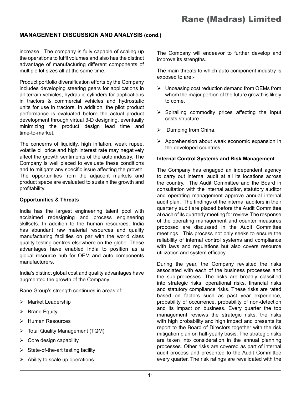#### **Management Discussion and Analysis (cond.)**

increase. The company is fully capable of scaling up the operations to fulfil volumes and also has the distinct advantage of manufacturing different components of multiple lot sizes all at the same time.

Product portfolio diversification efforts by the Company includes developing steering gears for applications in all-terrain vehicles, hydraulic cylinders for applications in tractors & commercial vehicles and hydrostatic units for use in tractors. In addition, the pilot product performance is evaluated before the actual product development through virtual 3-D designing, eventually minimizing the product design lead time and time-to-market.

The concerns of liquidity, high inflation, weak rupee, volatile oil price and high interest rate may negatively affect the growth sentiments of the auto industry. The Company is well placed to evaluate these conditions and to mitigate any specific issue affecting the growth. The opportunities from the adjacent markets and product space are evaluated to sustain the growth and profitability.

#### **Opportunities & Threats**

India has the largest engineering talent pool with acclaimed redesigning and process engineering skillsets. In addition to the human resources, India has abundant raw material resources and quality manufacturing facilities on par with the world class quality testing centres elsewhere on the globe. These advantages have enabled India to position as a global resource hub for OEM and auto components manufacturers.

India's distinct global cost and quality advantages have augmented the growth of the Company.

Rane Group's strength continues in areas of:-

- > Market Leadership
- $\triangleright$  Brand Equity
- > Human Resources
- > Total Quality Management (TQM)
- $\triangleright$  Core design capability
- $\triangleright$  State-of-the-art testing facility
- $\triangleright$  Ability to scale up operations

The Company will endeavor to further develop and improve its strengths.

The main threats to which auto component industry is exposed to are:-

- $\triangleright$  Unceasing cost reduction demand from OEMs from whom the major portion of the future growth is likely to come.
- $\triangleright$  Spiralling commodity prices affecting the input costs structure.
- $\triangleright$  Dumping from China.
- $\triangleright$  Apprehension about weak economic expansion in the developed countries.

#### **Internal Control Systems and Risk Management**

The Company has engaged an independent agency to carry out internal audit at all its locations across the country. The Audit Committee and the Board in consultation with the internal auditor, statutory auditor and operating management approve annual internal audit plan. The findings of the internal auditors in their quarterly audit are placed before the Audit Committee at each of its quarterly meeting for review. The response of the operating management and counter measures proposed are discussed in the Audit Committee meetings. This process not only seeks to ensure the reliability of internal control systems and compliance with laws and regulations but also covers resource utilization and system efficacy.

During the year, the Company revisited the risks associated with each of the business processes and the sub-processes. The risks are broadly classified into strategic risks, operational risks, financial risks and statutory compliance risks. These risks are rated based on factors such as past year experience, probability of occurrence, probability of non-detection and its impact on business. Every quarter the top management reviews the strategic risks, the risks with high probability and high impact and presents its report to the Board of Directors together with the risk mitigation plan on half-yearly basis. The strategic risks are taken into consideration in the annual planning processes. Other risks are covered as part of internal audit process and presented to the Audit Committee every quarter. The risk ratings are revalidated with the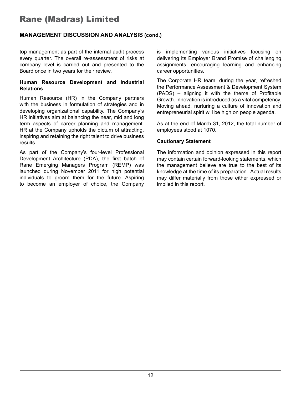#### **Management Discussion and Analysis (cond.)**

top management as part of the internal audit process every quarter. The overall re-assessment of risks at company level is carried out and presented to the Board once in two years for their review.

#### **Human Resource Development and Industrial Relations**

Human Resource (HR) in the Company partners with the business in formulation of strategies and in developing organizational capability. The Company's HR initiatives aim at balancing the near, mid and long term aspects of career planning and management. HR at the Company upholds the dictum of attracting, inspiring and retaining the right talent to drive business results.

As part of the Company's four-level Professional Development Architecture (PDA), the first batch of Rane Emerging Managers Program (REMP) was launched during November 2011 for high potential individuals to groom them for the future. Aspiring to become an employer of choice, the Company is implementing various initiatives focusing on delivering its Employer Brand Promise of challenging assignments, encouraging learning and enhancing career opportunities.

The Corporate HR team, during the year, refreshed the Performance Assessment & Development System (PADS) – aligning it with the theme of Profitable Growth. Innovation is introduced as a vital competency. Moving ahead, nurturing a culture of innovation and entrepreneurial spirit will be high on people agenda.

As at the end of March 31, 2012, the total number of employees stood at 1070.

#### **Cautionary Statement**

The information and opinion expressed in this report may contain certain forward-looking statements, which the management believe are true to the best of its knowledge at the time of its preparation. Actual results may differ materially from those either expressed or implied in this report.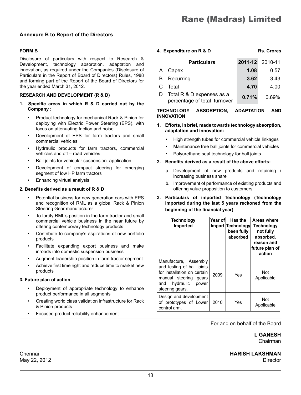#### **Annexure B to Report of the Directors**

#### **FORM B**

Disclosure of particulars with respect to Research & Development, technology absorption, adaptation and innovation, as required under the Companies (Disclosure of Particulars in the Report of Board of Directors) Rules, 1988 and forming part of the Report of the Board of Directors for the year ended March 31, 2012.

#### **RESEARCH AND DEVELOPMENT (R & D)**

- **1. Specific areas in which R & D carried out by the Company :**
	- Product technology for mechanical Rack & Pinion for deploying with Electric Power Steering (EPS), with focus on attenuating friction and noise
	- Development of EPS for farm tractors and small commercial vehicles
	- Hydraulic products for farm tractors, commercial vehicles and off – road vehicles
	- Ball joints for vehicular suspension application
	- Development of compact steering for emerging segment of low HP farm tractors
	- Enhancing virtual analysis

#### **2. Benefits derived as a result of R & D**

- Potential business for new generation cars with EPS and recognition of RML as a global Rack & Pinion Steering Gear manufacturer
- To fortify RML's position in the farm tractor and small commercial vehicle business in the near future by offering contemporary technology products
- Contribute to company's aspirations of new portfolio products
- Facilitate expanding export business and make inroads into domestic suspension business
- Augment leadership position in farm tractor segment
- Achieve first time right and reduce time to market new products

#### **3. Future plan of action**

- Deployment of appropriate technology to enhance product performance in all segments
- Creating world class validation infrastructure for Rack & Pinion products
- Focused product reliability enhancement

| 4. Expenditure on R & D |                                                           | <b>Rs. Crores</b> |                 |
|-------------------------|-----------------------------------------------------------|-------------------|-----------------|
|                         | <b>Particulars</b>                                        |                   | 2011-12 2010-11 |
| A                       | Capex                                                     | 1.08              | 0.57            |
| В                       | Recurring                                                 | 3.62              | 3.43            |
| C                       | Total                                                     | 4.70              | 4.00            |
| D                       | Total R & D expenses as a<br>percentage of total turnover | 0.71%             | 0.69%           |

#### **TECHNOLOGY ABSORPTION, ADAPTATION AND INNOVATION**

#### **1. Efforts, in brief, made towards technology absorption, adaptation and innovation:**

- High strength tubes for commercial vehicle linkages
- Maintenance free ball joints for commercial vehicles
- Polyurethane seal technology for ball joints

#### **2. Benefits derived as a result of the above efforts:**

- a. Development of new products and retaining / increasing business share
- b. Improvement of performance of existing products and offering value proposition to customers
- **3. Particulars of imported Technology (Technology imported during the last 5 years reckoned from the beginning of the financial year)**

| Technology<br>Imported                                                                                                                                      | Year of | Has the<br>Import Technology<br>been fully<br>absorbed | Areas where<br>Technology<br>not fully<br>absorbed,<br>reason and<br>future plan of<br>action |
|-------------------------------------------------------------------------------------------------------------------------------------------------------------|---------|--------------------------------------------------------|-----------------------------------------------------------------------------------------------|
| Manufacture, Assembly<br>and testing of ball joints<br>for installation on certain<br>manual steering gears<br>hydraulic<br>power<br>and<br>steering gears. | 2009    | Yes                                                    | Not<br>Applicable                                                                             |
| Design and development<br>of prototypes of Lower<br>control arm.                                                                                            | 2010    | Yes                                                    | Not<br>Applicable                                                                             |

For and on behalf of the Board

 **L GANESH** Chairman

#### Chennai **HARISH LAKSHMAN** May 22, 2012 **Director**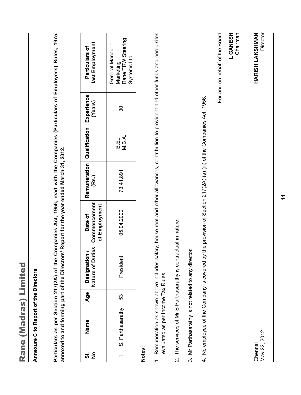| ٦      |
|--------|
| Ш      |
|        |
| п      |
|        |
| п      |
| h<br>ø |
|        |
|        |
|        |
|        |
|        |
|        |
|        |
| ø<br>٠ |
|        |
|        |
|        |
| П      |
|        |

**Annexure C to Report of the Directors**  Annexure C to Report of the Directors

**Particulars as per Section 217(2A) of the Companies Act, 1956, read with the Companies (Particulars of Employees) Rules, 1975,**  Particulars as per Section 217(2A) of the Companies Act, 1956, read with the Companies (Particulars of Employees) Rules, 1975, annexed to and forming part of the Directors' Report for the year ended March 31, 2012. **annexed to and forming part of the Directors' Report for the year ended March 31, 2012.**

| last Employment<br>Particulars of                           | Rane TRW Steering<br>General Manager-<br>Systems Ltd.<br><b>Marketing</b> |  |  |
|-------------------------------------------------------------|---------------------------------------------------------------------------|--|--|
| (Years)                                                     | న్ల                                                                       |  |  |
|                                                             | V.B.A.<br>ந்.<br>ம                                                        |  |  |
| Remuneration   Qualification   Experience<br>(Rs.)          | 73,41,891                                                                 |  |  |
| Nature of Duties   Commencement<br>of Employment<br>Date of | 05.04.2000                                                                |  |  |
| Designation /                                               | President                                                                 |  |  |
| ق<br>⊅                                                      | 53                                                                        |  |  |
| Name                                                        | I. IS. Parthasarath                                                       |  |  |
| ត ខ                                                         |                                                                           |  |  |

## **Notes:**

- 1. Remuneration as shown above includes salary, house rent and other allowances, contribution to provident and other funds and perquisites 1. Remuneration as shown above includes salary, house rent and other allowances, contribution to provident and other funds and perquisites evaluated as per Income Tax Rules. evaluated as per Income Tax Rules.
- 2. The services of Mr S Parthasarathy is contractual in nature. 2. The services of Mr S Parthasarathy is contractual in nature.
- 3. Mr Parthasarathy is not related to any director. 3. Mr Parthasarathy is not related to any director.
- 4. No employee of the Company is covered by the provision of Section 217(2A) (a) (iii) of the Companies Act, 1956. 4. No employee of the Company is covered by the provision of Section 217(2A) (a) (iii) of the Companies Act, 1956.

For and on behalf of the Board For and on behalf of the Board L GANESH<br>Chairman  **L GANESH** Chairman

HARISH LAKSHMAN Director Chennai **HARISH LAKSHMAN**

May 22, 2012<br>Director May 22, 2012 Chennai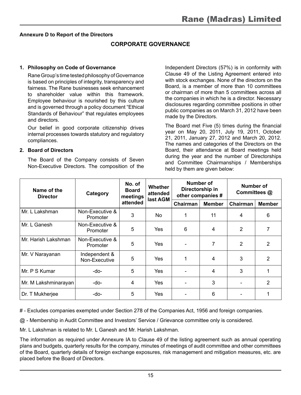#### **Annexure D to Report of the Directors**

#### **CORPORATE GOVERNANCE**

#### **1. Philosophy on Code of Governance**

Rane Group's time tested philosophy of Governance is based on principles of integrity, transparency and fairness. The Rane businesses seek enhancement to shareholder value within this framework. Employee behaviour is nourished by this culture and is governed through a policy document "Ethical Standards of Behaviour" that regulates employees and directors.

Our belief in good corporate citizenship drives internal processes towards statutory and regulatory compliances.

#### **2. Board of Directors**

The Board of the Company consists of Seven Non-Executive Directors. The composition of the

Independent Directors (57%) is in conformity with Clause 49 of the Listing Agreement entered into with stock exchanges. None of the directors on the Board, is a member of more than 10 committees or chairman of more than 5 committees across all the companies in which he is a director. Necessary disclosures regarding committee positions in other public companies as on March 31, 2012 have been made by the Directors.

The Board met Five (5) times during the financial year on May 20, 2011, July 19, 2011, October 21, 2011, January 27, 2012 and March 20, 2012. The names and categories of the Directors on the Board, their attendance at Board meetings held during the year and the number of Directorships and Committee Chairmanships / Memberships held by them are given below:

| Name of the<br><b>Director</b> | Category                       | No. of<br><b>Board</b><br>meetings | Number of<br><b>Whether</b><br>Directorship in<br>attended<br>other companies #<br>last AGM<br>Chairman |   | Number of<br>Committees @ |          |                |
|--------------------------------|--------------------------------|------------------------------------|---------------------------------------------------------------------------------------------------------|---|---------------------------|----------|----------------|
|                                |                                | attended                           |                                                                                                         |   | <b>Member</b>             | Chairman | <b>Member</b>  |
| Mr. L Lakshman                 | Non-Executive &<br>Promoter    | 3                                  | No.                                                                                                     | 1 | 11                        | 4        | 6              |
| Mr. L Ganesh                   | Non-Executive &<br>Promoter    | 5                                  | Yes                                                                                                     | 6 | 4                         | 2        | 7              |
| Mr. Harish Lakshman            | Non-Executive &<br>Promoter    | 5                                  | Yes                                                                                                     |   | 7                         | 2        | 2              |
| Mr. V Narayanan                | Independent &<br>Non-Executive | 5                                  | Yes                                                                                                     | 1 | 4                         | 3        | 2              |
| Mr. P S Kumar                  | -do-                           | 5                                  | Yes                                                                                                     |   | 4                         | 3        |                |
| Mr. M Lakshminarayan           | -do-                           | 4                                  | Yes                                                                                                     |   | 3                         |          | $\overline{2}$ |
| Dr. T Mukherjee                | -do-                           | 5                                  | Yes                                                                                                     |   | 6                         |          |                |

# - Excludes companies exempted under Section 278 of the Companies Act, 1956 and foreign companies.

@ - Membership in Audit Committee and Investors' Service / Grievance committee only is considered.

Mr. L Lakshman is related to Mr. L Ganesh and Mr. Harish Lakshman.

The information as required under Annexure IA to Clause 49 of the listing agreement such as annual operating plans and budgets, quarterly results for the company, minutes of meetings of audit committee and other committees of the Board, quarterly details of foreign exchange exposures, risk management and mitigation measures, etc. are placed before the Board of Directors.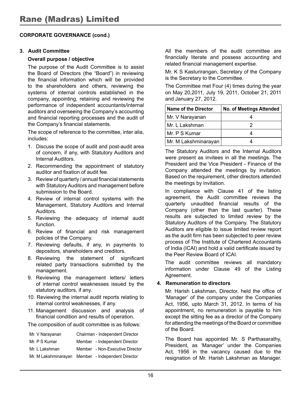#### **3. Audit Committee**

#### **Overall purpose / objective**

The purpose of the Audit Committee is to assist the Board of Directors (the "Board") in reviewing the financial information which will be provided to the shareholders and others, reviewing the systems of internal controls established in the company, appointing, retaining and reviewing the performance of independent accountants/internal auditors and overseeing the Company's accounting and financial reporting processes and the audit of the Company's financial statements.

The scope of reference to the committee, inter alia, includes:

- 1. Discuss the scope of audit and post-audit area of concern, if any, with Statutory Auditors and Internal Auditors.
- 2. Recommending the appointment of statutory auditor and fixation of audit fee.
- 3. Review of quarterly / annual financial statements with Statutory Auditors and management before submission to the Board.
- 4. Review of internal control systems with the Management, Statutory Auditors and Internal Auditors.
- 5. Reviewing the adequacy of internal audit function.
- 6. Review of financial and risk management policies of the Company.
- 7. Reviewing defaults, if any, in payments to depositors, shareholders and creditors.
- 8. Reviewing the statement of significant related party transactions submitted by the management.
- 9. Reviewing the management letters/ letters of internal control weaknesses issued by the statutory auditors, if any.
- 10. Reviewing the internal audit reports relating to internal control weaknesses, if any.
- 11. Management discussion and analysis of financial condition and results of operation.

The composition of audit committee is as follows:

| Mr. V Narayanan      | Chairman - Independent Director |
|----------------------|---------------------------------|
| Mr. P S Kumar        | Member - Independent Director   |
| Mr. L Lakshman       | Member - Non-Executive Director |
| Mr. M Lakshminarayan | Member - Independent Director   |

All the members of the audit committee are financially literate and possess accounting and related financial management expertise.

Mr. K S Kasturirangan, Secretary of the Company is the Secretary to the Committee.

The Committee met Four (4) times during the year on May 20,2011, July 19, 2011, October 21, 2011 and January 27, 2012.

| <b>Name of the Director</b> | No. of Meetings Attended |
|-----------------------------|--------------------------|
| Mr. V Narayanan             |                          |
| l Mr. L Lakshman            |                          |
| Mr. P S Kumar               |                          |
| Mr. M Lakshminarayan        |                          |

The Statutory Auditors and the Internal Auditors were present as invitees in all the meetings. The President and the Vice President - Finance of the Company attended the meetings by invitation. Based on the requirement, other directors attended the meetings by invitation.

In compliance with Clause 41 of the listing agreement, the Audit committee reviews the quarterly unaudited financial results of the Company (other than the last quarter). These results are subjected to limited review by the Statutory Auditors of the Company. The Statutory Auditors are eligible to issue limited review report as the audit firm has been subjected to peer review process of The Institute of Chartered Accountants of India (ICAI) and hold a valid certificate issued by the Peer Review Board of ICAI.

The audit committee reviews all mandatory information under Clause 49 of the Listing Agreement.

#### **4. Remuneration to directors**

Mr. Harish Lakshman, Director, held the office of 'Manager' of the company under the Companies Act, 1956, upto March 31, 2012. In terms of his appointment, no remuneration is payable to him except the sitting fee as a director of the Company for attending the meetings of the Board or committee of the Board.

The Board has appointed Mr. S Parthasarathy, President, as 'Manager' under the Companies Act, 1956 in the vacancy caused due to the resignation of Mr. Harish Lakshman as Manager.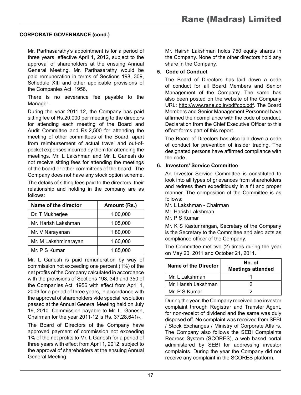Mr. Parthasarathy's appointment is for a period of three years, effective April 1, 2012, subject to the approval of shareholders at the ensuing Annual General Meeting. Mr. Parthasarathy would be paid remuneration in terms of Sections 198, 309, Schedule XIII and other applicable provisions of the Companies Act, 1956.

There is no severance fee payable to the Manager.

During the year 2011-12, the Company has paid sitting fee of Rs.20,000 per meeting to the directors for attending each meeting of the Board and Audit Committee and Rs.2,500 for attending the meeting of other committees of the Board, apart from reimbursement of actual travel and out-ofpocket expenses incurred by them for attending the meetings. Mr. L Lakshman and Mr. L Ganesh do not receive sitting fees for attending the meetings of the board or other committees of the board. The Company does not have any stock option scheme.

The details of sitting fees paid to the directors, their relationship and holding in the company are as follows:

| Name of the director | Amount (Rs.) |
|----------------------|--------------|
| Dr. T Mukherjee      | 1,00,000     |
| Mr. Harish Lakshman  | 1,05,000     |
| Mr. V Narayanan      | 1,80,000     |
| Mr. M Lakshminarayan | 1,60,000     |
| Mr. P S Kumar        | 1,85,000     |

Mr. L Ganesh is paid remuneration by way of commission not exceeding one percent (1%) of the net profits of the Company calculated in accordance with the provisions of Sections 198, 349 and 350 of the Companies Act, 1956 with effect from April 1, 2009 for a period of three years, in accordance with the approval of shareholders vide special resolution passed at the Annual General Meeting held on July 19, 2010. Commission payable to Mr. L. Ganesh, Chairman for the year 2011-12 is Rs. 37,28,641/-.

The Board of Directors of the Company have approved payment of commission not exceeding 1% of the net profits to Mr. L Ganesh for a period of three years with effect from April 1, 2012, subject to the approval of shareholders at the ensuing Annual General Meeting.

Mr. Hairsh Lakshman holds 750 equity shares in the Company. None of the other directors hold any share in the Company.

#### **5. Code of Conduct**

The Board of Directors has laid down a code of conduct for all Board Members and Senior Management of the Company. The same has also been posted on the website of the Company URL: http://www.rane.co.in/pdf/coc.pdf. The Board Members and Senior Management Personnel have affirmed their compliance with the code of conduct. Declaration from the Chief Executive Officer to this effect forms part of this report.

The Board of Directors has also laid down a code of conduct for prevention of insider trading. The designated persons have affirmed compliance with the code.

#### **6. Investors' Service Committee**

An Investor Service Committee is constituted to look into all types of grievances from shareholders and redress them expeditiously in a fit and proper manner. The composition of the Committee is as follows:

Mr. L Lakshman - Chairman

Mr. Harish Lakshman

Mr. P S Kumar

Mr. K S Kasturirangan, Secretary of the Company is the Secretary to the Committee and also acts as compliance officer of the Company.

The Committee met two (2) times during the year on May 20, 2011 and October 21, 2011.

| Name of the Director | No. of<br><b>Meetings attended</b> |
|----------------------|------------------------------------|
| Mr. L Lakshman       |                                    |
| Mr. Harish Lakshman  |                                    |
| Mr. P S Kumar        |                                    |

During the year, the Company received one investor complaint through Registrar and Transfer Agent, for non-receipt of dividend and the same was duly disposed off. No complaint was received from SEBI / Stock Exchanges / Ministry of Corporate Affairs. The Company also follows the SEBI Complaints Redress System (SCORES), a web based portal administered by SEBI for addressing investor complaints. During the year the Company did not receive any complaint in the SCORES platform.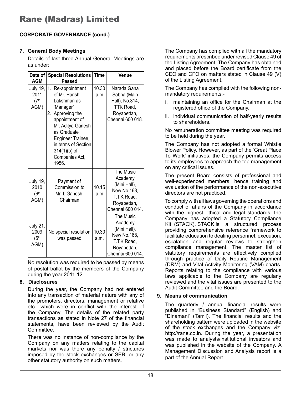#### **7. General Body Meetings**

Details of last three Annual General Meetings are as under:

| Date of<br><b>AGM</b>                                 | <b>Special Resolutions</b><br>Passed                                                                                                                                                                                                    | <b>Time</b>   | Venue                                                                                                 |
|-------------------------------------------------------|-----------------------------------------------------------------------------------------------------------------------------------------------------------------------------------------------------------------------------------------|---------------|-------------------------------------------------------------------------------------------------------|
| <b>July 19,</b><br>2011<br>(7 <sup>th</sup> )<br>AGM) | 1.<br>Re-appointment<br>of Mr. Harish<br>Lakshman as<br>'Manager'<br>Approving the<br>2.<br>appointment of<br>Mr. Aditya Ganesh<br>as Graduate<br>Engineer Trainee,<br>in terms of Section<br>$314(1)(b)$ of<br>Companies Act,<br>1956. | 10.30<br>a.m  | Narada Gana<br>Sabha (Main<br>Hall), No.314,<br>TTK Road.<br>Royapettah,<br>Chennai 600 018.          |
| <b>July 19,</b><br>2010<br>(6 <sup>th</sup><br>AGM)   | Payment of<br>Commission to<br>Mr. L Ganesh,<br>Chairman                                                                                                                                                                                | 10.15<br>a.m  | The Music<br>Academy<br>(Mini Hall),<br>New No.168,<br>T.T.K Road.<br>Royapettah,<br>Chennai 600 014. |
| <b>July 21,</b><br>2009<br>(5 <sup>th</sup> )<br>AGM) | No special resolution<br>was passed                                                                                                                                                                                                     | 10.30<br>a.m. | The Music<br>Academy<br>(Mini Hall),<br>New No.168,<br>T.T.K Road.<br>Royapettah,<br>Chennai 600 014. |

No resolution was required to be passed by means of postal ballot by the members of the Company during the year 2011-12.

#### **8. Disclosures**

During the year, the Company had not entered into any transaction of material nature with any of the promoters, directors, management or relative etc., which were in conflict with the interest of the Company. The details of the related party transactions as stated in Note 27 of the financial statements, have been reviewed by the Audit Committee.

There was no instance of non-compliance by the Company on any matters relating to the capital markets nor was there any penalty / strictures imposed by the stock exchanges or SEBI or any other statutory authority on such matters.

The Company has complied with all the mandatory requirements prescribed under revised Clause 49 of the Listing Agreement. The Company has obtained and placed before the Board certificate from the CEO and CFO on matters stated in Clause 49 (V) of the Listing Agreement.

The Company has complied with the following nonmandatory requirements:-

- i. maintaining an office for the Chairman at the registered office of the Company.
- ii. individual communication of half-yearly results to shareholders.

No remuneration committee meeting was required to be held during the year.

The Company has not adopted a formal Whistle Blower Policy. However, as part of the 'Great Place To Work' initiatives, the Company permits access to its employees to approach the top management on any critical issues.

The present Board consists of professional and well-experienced members, hence training and evaluation of the performance of the non-executive directors are not practiced.

To comply with all laws governing the operations and conduct of affairs of the Company in accordance with the highest ethical and legal standards, the Company has adopted a Statutory Compliance Kit (STACK). STACK is a structured process providing comprehensive reference framework to facilitate education to dealing personnel, execution, escalation and regular reviews to strengthen compliance management. The master list of statutory requirements are effectively complied through practice of Daily Routine Management (DRM) and Vital Activity Monitoring (VAM) charts. Reports relating to the compliance with various laws applicable to the Company are regularly reviewed and the vital issues are presented to the Audit Committee and the Board.

#### **9. Means of communication**

The quarterly / annual financial results were published in "Business Standard" (English) and "Dinamani" (Tamil). The financial results and the shareholding pattern were uploaded in the website of the stock exchanges and the Company viz. http://rane.co.in. During the year, a presentation was made to analysts/institutional investors and was published in the website of the Company. A Management Discussion and Analysis report is a part of the Annual Report.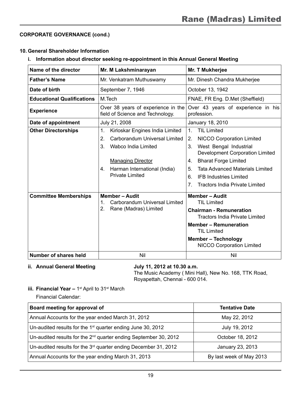#### **10. General Shareholder Information**

#### **i. Information about director seeking re-appointment in this Annual General Meeting**

| Name of the director              | Mr. M Lakshminarayan                                                   | Mr. T Mukherjee                                                         |  |  |
|-----------------------------------|------------------------------------------------------------------------|-------------------------------------------------------------------------|--|--|
| <b>Father's Name</b>              | Mr. Venkatram Muthuswamy                                               | Mr. Dinesh Chandra Mukherjee                                            |  |  |
| Date of birth                     | September 7, 1946                                                      | October 13, 1942                                                        |  |  |
| <b>Educational Qualifications</b> | M.Tech                                                                 | FNAE, FR Eng. D.Met (Sheffield)                                         |  |  |
| <b>Experience</b>                 | Over 38 years of experience in the<br>field of Science and Technology. | Over 43 years of experience in his<br>profession.                       |  |  |
| Date of appointment               | July 21, 2008                                                          | January 18, 2010                                                        |  |  |
| <b>Other Directorships</b>        | Kirloskar Engines India Limited<br>$\mathbf{1}$ .                      | <b>TIL Limited</b><br>1 <sup>1</sup>                                    |  |  |
|                                   | 2.<br>Carborandum Universal Limited                                    | NICCO Corporation Limited<br>2.                                         |  |  |
|                                   | 3.<br>Wabco India Limited                                              | West Bengal Industrial<br>3.<br>Development Corporation Limited         |  |  |
|                                   | <b>Managing Director</b>                                               | <b>Bharat Forge Limited</b><br>4.                                       |  |  |
|                                   | Harman International (India)<br>4.                                     | <b>Tata Advanced Materials Limited</b><br>5.                            |  |  |
|                                   | <b>Private Limited</b>                                                 | <b>IFB Industries Limited</b><br>6.                                     |  |  |
|                                   |                                                                        | <b>Tractors India Private Limited</b><br>7 <sub>1</sub>                 |  |  |
| <b>Committee Memberships</b>      | <b>Member - Audit</b><br>Carborandum Universal Limited<br>$\mathbf 1$  | <b>Member - Audit</b><br><b>TIL Limited</b>                             |  |  |
| 2.<br>Rane (Madras) Limited       |                                                                        | <b>Chairman - Remuneration</b><br><b>Tractors India Private Limited</b> |  |  |
|                                   |                                                                        | <b>Member - Remuneration</b><br><b>TIL Limited</b>                      |  |  |
|                                   |                                                                        | <b>Member - Technology</b><br><b>NICCO Corporation Limited</b>          |  |  |
| Number of shares held             | Nil                                                                    | Nil                                                                     |  |  |

#### ii. Annual General Meeting **July 11, 2012 at 10.30 a.m.**

The Music Academy ( Mini Hall), New No. 168, TTK Road, Royapettah, Chennai - 600 014.

#### **iii. Financial Year - 1<sup>st</sup> April to 31<sup>st</sup> March**

Financial Calendar:

| Board meeting for approval of                                         | <b>Tentative Date</b>    |
|-----------------------------------------------------------------------|--------------------------|
| Annual Accounts for the year ended March 31, 2012                     | May 22, 2012             |
| Un-audited results for the $1st$ quarter ending June 30, 2012         | July 19, 2012            |
| Un-audited results for the $2^{nd}$ quarter ending September 30, 2012 | October 18, 2012         |
| Un-audited results for the $3rd$ quarter ending December 31, 2012     | January 23, 2013         |
| Annual Accounts for the year ending March 31, 2013                    | By last week of May 2013 |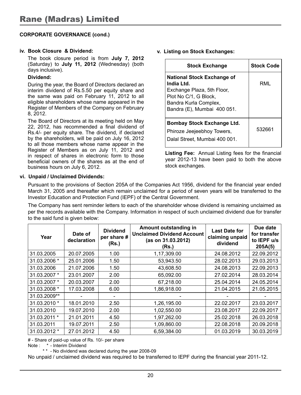#### **iv. Book Closure & Dividend:**

The book closure period is from **July 7, 2012**  (Saturday) to **July 11, 2012** (Wednesday) (both days inclusive).

#### **Dividend:**

During the year, the Board of Directors declared an interim dividend of Rs.5.50 per equity share and the same was paid on February 11, 2012 to all eligible shareholders whose name appeared in the Register of Members of the Company on February 8, 2012.

The Board of Directors at its meeting held on May 22, 2012, has recommended a final dividend of Rs.4/- per equity share. The dividend, if declared by the shareholders, will be paid on July 16, 2012 to all those members whose name appear in the Register of Members as on July 11, 2012 and in respect of shares in electronic form to those beneficial owners of the shares as at the end of business hours on July 6, 2012.

**v. Listing on Stock Exchanges:**

| <b>Stock Exchange</b>                                                                                                                                          | <b>Stock Code</b> |
|----------------------------------------------------------------------------------------------------------------------------------------------------------------|-------------------|
| <b>National Stock Exchange of</b><br>India Ltd.<br>Exchange Plaza, 5th Floor,<br>Plot No C/1, G Block,<br>Bandra Kurla Complex,<br>Bandra (E), Mumbai 400 051. | RMI               |
| <b>Bombay Stock Exchange Ltd.</b><br>Phiroze Jeejeebhoy Towers,<br>Dalal Street. Mumbai 400 001.                                                               | 532661            |

**Listing Fee:** Annual Listing fees for the financial year 2012-13 have been paid to both the above stock exchanges.

#### **vi. Unpaid / Unclaimed Dividends:**

Pursuant to the provisions of Section 205A of the Companies Act 1956, dividend for the financial year ended March 31, 2005 and thereafter which remain unclaimed for a period of seven years will be transferred to the Investor Education and Protection Fund (IEPF) of the Central Government.

The Company has sent reminder letters to each of the shareholder whose dividend is remaining unclaimed as per the records available with the Company. Information in respect of such unclaimed dividend due for transfer to the said fund is given below:

| Year         | Date of<br>declaration | <b>Dividend</b><br>per share #<br>(Rs.) | Amount outstanding in<br><b>Unclaimed Dividend Account</b><br>(as on 31.03.2012)<br>(Rs.) | <b>Last Date for</b><br>claiming unpaid<br>dividend | Due date<br>for transfer<br>to IEPF u/s<br>205A(5) |
|--------------|------------------------|-----------------------------------------|-------------------------------------------------------------------------------------------|-----------------------------------------------------|----------------------------------------------------|
| 31.03.2005   | 20.07.2005             | 1.00                                    | 1,17,309.00                                                                               | 24.08.2012                                          | 22.09.2012                                         |
| 31.03.2006 * | 25.01.2006             | 1.50                                    | 53,943.50                                                                                 | 28.02.2013                                          | 29.03.2013                                         |
| 31.03.2006   | 21.07.2006             | 1.50                                    | 43.608.50                                                                                 | 24.08.2013                                          | 22.09.2013                                         |
| 31.03.2007 * | 23.01.2007             | 2.00                                    | 65.092.00                                                                                 | 27.02.2014                                          | 28.03.2014                                         |
| 31.03.2007 * | 20.03.2007             | 2.00                                    | 67,218.00                                                                                 | 25.04.2014                                          | 24.05.2014                                         |
| 31.03.2008 * | 17.03.2008             | 6.00                                    | 1,86,918.00                                                                               | 21.04.2015                                          | 21.05.2015                                         |
| 31.03.2009** |                        |                                         |                                                                                           |                                                     |                                                    |
| 31.03.2010 * | 18.01.2010             | 2.50                                    | 1,26,195.00                                                                               | 22.02.2017                                          | 23.03.2017                                         |
| 31.03.2010   | 19.07.2010             | 2.00                                    | 1,02,550.00                                                                               | 23.08.2017                                          | 22.09.2017                                         |
| 31.03.2011 * | 21.01.2011             | 4.50                                    | 1,97,262.00                                                                               | 25.02.2018                                          | 26.03.2018                                         |
| 31.03.2011   | 19.07.2011             | 2.50                                    | 1,09,860.00                                                                               | 22.08.2018                                          | 20.09.2018                                         |
| 31.03.2012 * | 27.01.2012             | 4.50                                    | 6.59.384.00                                                                               | 01.03.2019                                          | 30.03.2019                                         |

# - Share of paid-up value of Rs. 10/- per share

Note : \* - Interim Dividend

\* \* - No dividend was declared during the year 2008-09

No unpaid / unclaimed dividend was required to be transferred to IEPF during the financial year 2011-12.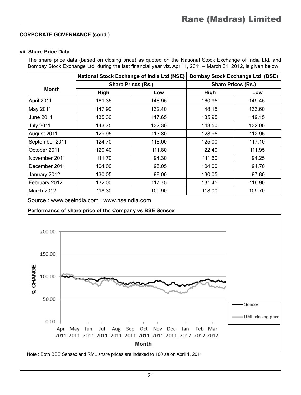#### **vii. Share Price Data**

The share price data (based on closing price) as quoted on the National Stock Exchange of India Ltd. and Bombay Stock Exchange Ltd. during the last financial year viz. April 1, 2011 – March 31, 2012, is given below:

|                  | National Stock Exchange of India Ltd (NSE) |        |                           | <b>Bombay Stock Exchange Ltd (BSE)</b> |  |
|------------------|--------------------------------------------|--------|---------------------------|----------------------------------------|--|
|                  | <b>Share Prices (Rs.)</b>                  |        | <b>Share Prices (Rs.)</b> |                                        |  |
| <b>Month</b>     | High                                       | Low    | High                      | Low                                    |  |
| April 2011       | 161.35                                     | 148.95 | 160.95                    | 149.45                                 |  |
| May 2011         | 147.90                                     | 132.40 | 148.15                    | 133.60                                 |  |
| June 2011        | 135.30                                     | 117.65 | 135.95                    | 119.15                                 |  |
| <b>July 2011</b> | 143.75                                     | 132.30 | 143.50                    | 132.00                                 |  |
| August 2011      | 129.95                                     | 113.80 | 128.95                    | 112.95                                 |  |
| September 2011   | 124.70                                     | 118.00 | 125.00                    | 117.10                                 |  |
| October 2011     | 120.40                                     | 111.80 | 122.40                    | 111.95                                 |  |
| November 2011    | 111.70                                     | 94.30  | 111.60                    | 94.25                                  |  |
| December 2011    | 104.00                                     | 95.05  | 104.00                    | 94.70                                  |  |
| January 2012     | 130.05                                     | 98.00  | 130.05                    | 97.80                                  |  |
| February 2012    | 132.00                                     | 117.75 | 131.45                    | 116.90                                 |  |
| March 2012       | 118.30                                     | 109.90 | 118.00                    | 109.70                                 |  |

Source : www.bseindia.com ; www.nseindia.com

**Performance of share price of the Company vs BSE Sensex**



Note : Both BSE Sensex and RML share prices are indexed to 100 as on April 1, 2011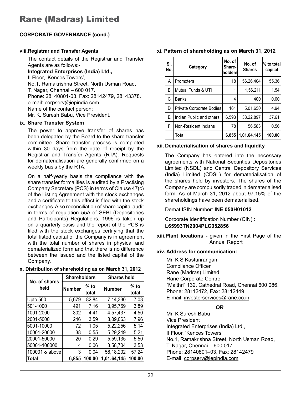#### **viii.Registrar and Transfer Agents**

The contact details of the Registrar and Transfer Agents are as follows:-

**Integrated Enterprises (India) Ltd.,** II Floor, 'Kences Towers', No.1, Ramakrishna Street, North Usman Road, T. Nagar, Chennai – 600 017. Phone: 28140801-03, Fax: 28142479, 28143378. e-mail: corpserv@iepindia.com, Name of the contact person: Mr. K. Suresh Babu, Vice President.

#### **ix. Share Transfer System**

The power to approve transfer of shares has been delegated by the Board to the share transfer committee. Share transfer process is completed within 30 days from the date of receipt by the Registrar and Transfer Agents (RTA). Requests for dematerialisation are generally confirmed on a weekly basis by the RTA.

On a half-yearly basis the compliance with the share transfer formalities is audited by a Practising Company Secretary (PCS) in terms of Clause 47(c) of the Listing Agreement with the stock exchanges and a certificate to this effect is filed with the stock exchanges. Also reconciliation of share capital audit in terms of regulation 55A of SEBI (Depositories and Participants) Regulations, 1996 is taken up on a quarterly basis and the report of the PCS is filed with the stock exchanges certifying that the total listed capital of the Company is in agreement with the total number of shares in physical and dematerialized form and that there is no difference between the issued and the listed capital of the Company.

#### **x. Distribution of shareholding as on March 31, 2012**

| No. of shares  | <b>Shareholders</b> |                 | <b>Shares held</b> |                 |  |
|----------------|---------------------|-----------------|--------------------|-----------------|--|
| held           | <b>Number</b>       | $%$ to<br>total | <b>Number</b>      | $%$ to<br>total |  |
| Upto 500       | 5,679               | 82.84           | 7.14.330           | 7.03            |  |
| 501-1000       | 491                 | 7.16            | 3,95,769           | 3.89            |  |
| 1001-2000      | 302                 | 4.41            | 4.57.437           | 4.50            |  |
| 2001-5000      | 246                 | 3.59            | 8,09,063           | 7.96            |  |
| 5001-10000     | 72                  | 1.05            | 5,22,256           | 5.14            |  |
| 10001-20000    | 38                  | 0.55            | 5,29,249           | 5.21            |  |
| 20001-50000    | 20                  | 0.29            | 5,59,135           | 5.50            |  |
| 50001-100000   | 4                   | 0.06            | 3,58,704           | 3.53            |  |
| 100001 & above | 3                   | 0.04            | 58,18,202          | 57.24           |  |
| Total          | 6.855               | 100.00          | 1,01,64,145        | 100.00          |  |

|  |  | xi. Pattern of shareholding as on March 31, 2012 |  |  |  |  |  |
|--|--|--------------------------------------------------|--|--|--|--|--|
|--|--|--------------------------------------------------|--|--|--|--|--|

| SI.<br>No. | Category                 | No. of<br>Share-<br> holders | No. of<br><b>Shares</b> | % to total<br>capital |
|------------|--------------------------|------------------------------|-------------------------|-----------------------|
| А          | Promoters                | 18                           | 56.26.404               | 55.36                 |
| B          | Mutual Funds & UTI       | 1                            | 1,56,211                | 1.54                  |
| C          | <b>Banks</b>             | 4                            | 400                     | 0.00                  |
| D          | Private Corporate Bodies | 161                          | 5,01,650                | 4.94                  |
| F          | Indian Public and others | 6,593                        | 38,22,897               | 37.61                 |
| F          | Non-Resident Indians     | 78                           | 56,583                  | 0.56                  |
|            | Total                    | 6,855                        | 1,01,64,145             | 100.00                |

#### **xii. Dematerialisation of shares and liquidity**

The Company has entered into the necessary agreements with National Securities Depositories Limited (NSDL) and Central Depository Services (India) Limited (CDSL) for dematerialisation of the shares held by investors. The shares of the Company are compulsorily traded in dematerialised form. As of March 31, 2012 about 97.15% of the shareholdings have been dematerialised.

Demat ISIN Number: **INE 050H01012**

Corporate Identification Number (CIN) : **L65993TN2004PLC052856**

**xiii.Plant locations -** given in the First Page of the Annual Report

#### **xiv. Address for communication:**

 Mr. K S Kasturirangan Compliance Officer Rane (Madras) Limited Rane Corporate Centre, "Maithri" 132, Cathedral Road, Chennai 600 086. Phone: 28112472, Fax: 28112449 E-mail: investorservices@rane.co.in

#### **OR**

 Mr. K Suresh Babu Vice President Integrated Enterprises (India) Ltd., II Floor, 'Kences Towers' No.1, Ramakrishna Street, North Usman Road, T. Nagar, Chennai – 600 017 Phone: 28140801–03, Fax: 28142479 E-mail: corpserv@iepindia.com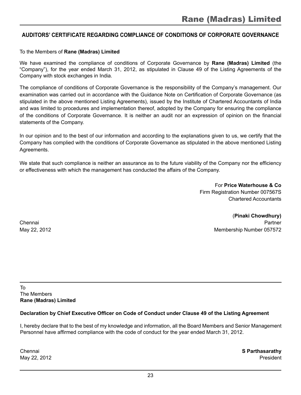#### **Auditors' Certificate regarding compliance of conditions of Corporate Governance**

To the Members of **Rane (Madras) Limited**

We have examined the compliance of conditions of Corporate Governance by **Rane (Madras) Limited** (the "Company"), for the year ended March 31, 2012, as stipulated in Clause 49 of the Listing Agreements of the Company with stock exchanges in India.

The compliance of conditions of Corporate Governance is the responsibility of the Company's management. Our examination was carried out in accordance with the Guidance Note on Certification of Corporate Governance (as stipulated in the above mentioned Listing Agreements), issued by the Institute of Chartered Accountants of India and was limited to procedures and implementation thereof, adopted by the Company for ensuring the compliance of the conditions of Corporate Governance. It is neither an audit nor an expression of opinion on the financial statements of the Company.

In our opinion and to the best of our information and according to the explanations given to us, we certify that the Company has complied with the conditions of Corporate Governance as stipulated in the above mentioned Listing Agreements.

We state that such compliance is neither an assurance as to the future viability of the Company nor the efficiency or effectiveness with which the management has conducted the affairs of the Company.

> For **Price Waterhouse & Co** Firm Registration Number 007567S Chartered Accountants

(**Pinaki Chowdhury)** Chennai Partner May 22, 2012 Membership Number 057572

To The Members **Rane (Madras) Limited**

#### **Declaration by Chief Executive Officer on Code of Conduct under Clause 49 of the Listing Agreement**

I, hereby declare that to the best of my knowledge and information, all the Board Members and Senior Management Personnel have affirmed compliance with the code of conduct for the year ended March 31, 2012.

Chennai **S Parthasarathy** May 22, 2012 **President**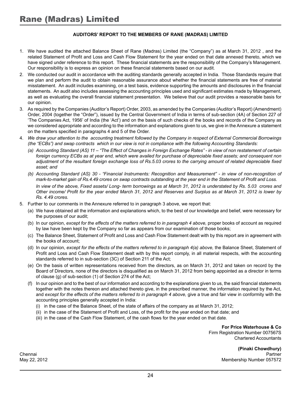#### **Auditors' Report to the Members of Rane (Madras) Limited**

- 1. We have audited the attached Balance Sheet of Rane (Madras) Limited (the "Company") as at March 31, 2012 , and the related Statement of Profit and Loss and Cash Flow Statement for the year ended on that date annexed thereto, which we have signed under reference to this report. These financial statements are the responsibility of the Company's Management. Our responsibility is to express an opinion on these financial statements based on our audit.
- 2. We conducted our audit in accordance with the auditing standards generally accepted in India. Those Standards require that we plan and perform the audit to obtain reasonable assurance about whether the financial statements are free of material misstatement. An audit includes examining, on a test basis, evidence supporting the amounts and disclosures in the financial statements. An audit also includes assessing the accounting principles used and significant estimates made by Management, as well as evaluating the overall financial statement presentation. We believe that our audit provides a reasonable basis for our opinion.
- 3. As required by the Companies (Auditor's Report) Order, 2003, as amended by the Companies (Auditor's Report) (Amendment) Order, 2004 (together the "Order"), issued by the Central Government of India in terms of sub-section (4A) of Section 227 of 'The Companies Act, 1956' of India (the 'Act') and on the basis of such checks of the books and records of the Company as we considered appropriate and according to the information and explanations given to us, we give in the Annexure a statement on the matters specified in paragraphs 4 and 5 of the Order.
- 4. *We draw your attention to the accounting treatment followed by the Company in respect of External Commercial Borrowings (the "ECBs") and swap contracts which in our view is not in compliance with the following Accounting Standards:*
	- *(a) Accounting Standard (AS) 11 "The Effect of Changes in Foreign Exchange Rates" in view of non restatement of certain foreign currency ECBs as at year end, which were availed for purchase of depreciable fixed assets; and consequent non adjustment of the resultant foreign exchange loss of Rs.5.03 crores to the carrying amount of related depreciable fixed asset; and*
	- *(b) Accounting Standard (AS) 30 "Financial Instruments: Recognition and Measurement" in view of non-recognition of mark-to-market gain of Rs.4.49 crores on swap contracts outstanding at the year end in the Statement of Profit and Loss. In view of the above, Fixed assets/ Long- term borrowings as at March 31, 2012 is understated by Rs. 5.03 crores and*

*Other income/ Profit for the year ended March 31, 2012 and Reserves and Surplus as at March 31, 2012 is lower by Rs. 4.49 crores.*

- 5. Further to our comments in the Annexure referred to in paragraph 3 above, we report that:
	- (a) We have obtained all the information and explanations which, to the best of our knowledge and belief, were necessary for the purposes of our audit;
	- (b) In our opinion, *except for the effects of the matters referred to in paragraph 4 above, proper books of account as required* by law have been kept by the Company so far as appears from our examination of those books;
	- (c) The Balance Sheet, Statement of Profit and Loss and Cash Flow Statement dealt with by this report are in agreement with the books of account;
	- (d) In our opinion, *except for the effects of the matters referred to in paragraph 4(a) above,* the Balance Sheet, Statement of Profit and Loss and Cash Flow Statement dealt with by this report comply, in all material respects, with the accounting standards referred to in sub-section (3C) of Section 211 of the Act;
	- (e) On the basis of written representations received from the directors, as on March 31, 2012 and taken on record by the Board of Directors, none of the directors is disqualified as on March 31, 2012 from being appointed as a director in terms of clause (g) of sub-section (1) of Section 274 of the Act;
	- (f) In our opinion and to the best of our information and according to the explanations given to us, the said financial statements together with the notes thereon and attached thereto give, in the prescribed manner, the information required by the Act, and except for the effects of the matters referred to in paragraph 4 above, give a true and fair view in conformity with the accounting principles generally accepted in India:
		- (i) in the case of the Balance Sheet, of the state of affairs of the company as at March 31, 2012;
		- (ii) in the case of the Statement of Profit and Loss, of the profit for the year ended on that date; and
		- (iii) in the case of the Cash Flow Statement, of the cash flows for the year ended on that date.

**For Price Waterhouse & Co** Firm Registration Number 007567S Chartered Accountants

**(Pinaki Chowdhury)** Chennai Partner May 22, 2012 Membership Number 057572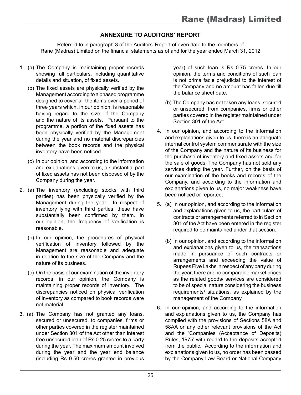#### **Annexure to Auditors' Report**

Referred to in paragraph 3 of the Auditors' Report of even date to the members of Rane (Madras) Limited on the financial statements as of and for the year ended March 31, 2012

- 1. (a) The Company is maintaining proper records showing full particulars, including quantitative details and situation, of fixed assets.
	- (b) The fixed assets are physically verified by the Management according to a phased programme designed to cover all the items over a period of three years which, in our opinion, is reasonable having regard to the size of the Company and the nature of its assets. Pursuant to the programme, a portion of the fixed assets has been physically verified by the Management during the year and no material discrepancies between the book records and the physical inventory have been noticed.
	- (c) In our opinion, and according to the information and explanations given to us, a substantial part of fixed assets has not been disposed of by the Company during the year.
- 2. (a) The inventory (excluding stocks with third parties) has been physically verified by the Management during the year. In respect of inventory lying with third parties, these have substantially been confirmed by them. In our opinion, the frequency of verification is reasonable.
	- (b) In our opinion, the procedures of physical verification of inventory followed by the Management are reasonable and adequate in relation to the size of the Company and the nature of its business.
	- (c) On the basis of our examination of the inventory records, in our opinion, the Company is maintaining proper records of inventory. The discrepancies noticed on physical verification of inventory as compared to book records were not material.
- 3. (a) The Company has not granted any loans, secured or unsecured, to companies, firms or other parties covered in the register maintained under Section 301 of the Act other than interest free unsecured loan of Rs 0.25 crores to a party during the year. The maximum amount involved during the year and the year end balance (including Rs 0.50 crores granted in previous

year) of such loan is Rs 0.75 crores. In our opinion, the terms and conditions of such loan is not prima facie prejudicial to the interest of the Company and no amount has fallen due till the balance sheet date.

- (b) The Company has not taken any loans, secured or unsecured, from companies, firms or other parties covered in the register maintained under Section 301 of the Act.
- 4. In our opinion, and according to the information and explanations given to us, there is an adequate internal control system commensurate with the size of the Company and the nature of its business for the purchase of inventory and fixed assets and for the sale of goods. The Company has not sold any services during the year. Further, on the basis of our examination of the books and records of the Company, and according to the information and explanations given to us, no major weakness have been noticed or reported.
- 5. (a) In our opinion, and according to the information and explanations given to us, the particulars of contracts or arrangements referred to in Section 301 of the Act have been entered in the register required to be maintained under that section.
	- (b) In our opinion, and according to the information and explanations given to us, the transactions made in pursuance of such contracts or arrangements and exceeding the value of Rupees Five Lakhs in respect of any party during the year, there are no comparable market prices as the related goods/ services are considered to be of special nature considering the business requirements/ situations, as explained by the management of the Company.
- 6. In our opinion, and according to the information and explanations given to us, the Company has complied with the provisions of Sections 58A and 58AA or any other relevant provisions of the Act and the 'Companies (Acceptance of Deposits) Rules, 1975' with regard to the deposits accepted from the public. According to the information and explanations given to us, no order has been passed by the Company Law Board or National Company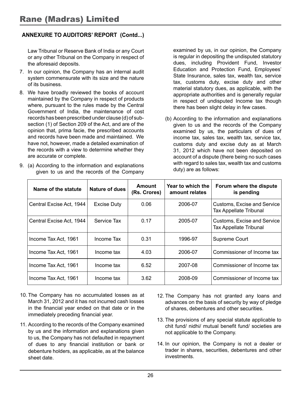#### **Annexure to Auditors' Report (Contd...)**

Law Tribunal or Reserve Bank of India or any Court or any other Tribunal on the Company in respect of the aforesaid deposits.

- 7. In our opinion, the Company has an internal audit system commensurate with its size and the nature of its business.
- 8. We have broadly reviewed the books of account maintained by the Company in respect of products where, pursuant to the rules made by the Central Government of India, the maintenance of cost records has been prescribed under clause (d) of subsection (1) of Section 209 of the Act, and are of the opinion that, prima facie, the prescribed accounts and records have been made and maintained. We have not, however, made a detailed examination of the records with a view to determine whether they are accurate or complete.
- 9. (a) According to the information and explanations given to us and the records of the Company

examined by us, in our opinion, the Company is regular in depositing the undisputed statutory dues, including Provident Fund, Investor Education and Protection Fund, Employees' State Insurance, sales tax, wealth tax, service tax, customs duty, excise duty and other material statutory dues, as applicable, with the appropriate authorities and is generally regular in respect of undisputed Income tax though there has been slight delay in few cases.

(b) According to the information and explanations given to us and the records of the Company examined by us, the particulars of dues of income tax, sales tax, wealth tax, service tax, customs duty and excise duty as at March 31, 2012 which have not been deposited on account of a dispute (there being no such cases with regard to sales tax, wealth tax and customs duty) are as follows:

| Name of the statute      | Nature of dues     | Amount<br>(Rs. Crores) | Year to which the<br>amount relates | Forum where the dispute<br>is pending                 |
|--------------------------|--------------------|------------------------|-------------------------------------|-------------------------------------------------------|
| Central Excise Act, 1944 | <b>Excise Duty</b> | 0.06                   | 2006-07                             | Customs, Excise and Service<br>Tax Appellate Tribunal |
| Central Excise Act, 1944 | Service Tax        | 0.17                   | 2005-07                             | Customs, Excise and Service<br>Tax Appellate Tribunal |
| Income Tax Act. 1961     | Income Tax         | 0.31                   | 1996-97                             | Supreme Court                                         |
| Income Tax Act, 1961     | Income tax         | 4.03                   | 2006-07                             | Commissioner of Income tax                            |
| Income Tax Act, 1961     | Income tax         | 6.52                   | 2007-08                             | Commissioner of Income tax                            |
| Income Tax Act, 1961     | Income tax         | 3.62                   | 2008-09                             | Commissioner of Income tax                            |

- 10. The Company has no accumulated losses as at March 31, 2012 and it has not incurred cash losses in the financial year ended on that date or in the immediately preceding financial year.
- 11. According to the records of the Company examined by us and the information and explanations given to us, the Company has not defaulted in repayment of dues to any financial institution or bank or debenture holders, as applicable, as at the balance sheet date.
- 12. The Company has not granted any loans and advances on the basis of security by way of pledge of shares, debentures and other securities.
- 13. The provisions of any special statute applicable to chit fund/ nidhi/ mutual benefit fund/ societies are not applicable to the Company.
- 14. In our opinion, the Company is not a dealer or trader in shares, securities, debentures and other investments.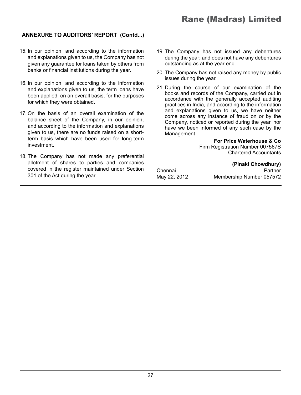#### **Annexure to Auditors' Report (Contd...)**

- 15. In our opinion, and according to the information and explanations given to us, the Company has not given any guarantee for loans taken by others from banks or financial institutions during the year.
- 16. In our opinion, and according to the information and explanations given to us, the term loans have been applied, on an overall basis, for the purposes for which they were obtained.
- 17. On the basis of an overall examination of the balance sheet of the Company, in our opinion, and according to the information and explanations given to us, there are no funds raised on a shortterm basis which have been used for long-term investment.
- 18. The Company has not made any preferential allotment of shares to parties and companies covered in the register maintained under Section 301 of the Act during the year.
- 19. The Company has not issued any debentures during the year; and does not have any debentures outstanding as at the year end.
- 20. The Company has not raised any money by public issues during the year.
- 21. During the course of our examination of the books and records of the Company, carried out in accordance with the generally accepted auditing practices in India, and according to the information and explanations given to us, we have neither come across any instance of fraud on or by the Company, noticed or reported during the year, nor have we been informed of any such case by the Management.

**For Price Waterhouse & Co**

Firm Registration Number 007567S Chartered Accountants

|              | (Pinaki Chowdhury)       |
|--------------|--------------------------|
| Chennai      | Partner                  |
| May 22, 2012 | Membership Number 057572 |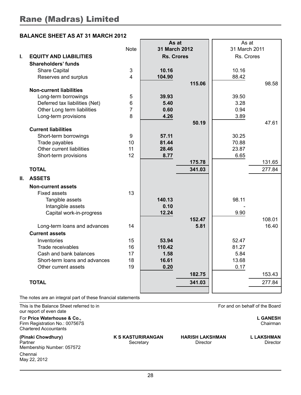#### **BALANCE SHEET AS AT 31 MARCH 2012**

|    |                                |             | As at             |        | As at         |        |
|----|--------------------------------|-------------|-------------------|--------|---------------|--------|
|    |                                | <b>Note</b> | 31 March 2012     |        | 31 March 2011 |        |
| Ī. | <b>EQUITY AND LIABILITIES</b>  |             | <b>Rs. Crores</b> |        | Rs. Crores    |        |
|    | Shareholders' funds            |             |                   |        |               |        |
|    | Share Capital                  | 3           | 10.16             |        | 10.16         |        |
|    | Reserves and surplus           | 4           | 104.90            |        | 88.42         |        |
|    |                                |             |                   | 115.06 |               | 98.58  |
|    | <b>Non-current liabilities</b> |             |                   |        |               |        |
|    | Long-term borrowings           | 5           | 39.93             |        | 39.50         |        |
|    | Deferred tax liabilities (Net) | 6           | 5.40              |        | 3.28          |        |
|    | Other Long term liabilities    | 7           | 0.60              |        | 0.94          |        |
|    | Long-term provisions           | 8           | 4.26              |        | 3.89          |        |
|    |                                |             |                   | 50.19  |               | 47.61  |
|    | <b>Current liabilities</b>     |             |                   |        |               |        |
|    | Short-term borrowings          | 9           | 57.11             |        | 30.25         |        |
|    | Trade payables                 | 10          | 81.44             |        | 70.88         |        |
|    | Other current liabilities      | 11          | 28.46             |        | 23.87         |        |
|    | Short-term provisions          | 12          | 8.77              |        | 6.65          |        |
|    |                                |             |                   | 175.78 |               | 131.65 |
|    | <b>TOTAL</b>                   |             |                   | 341.03 |               | 277.84 |
| Ш. | <b>ASSETS</b>                  |             |                   |        |               |        |
|    | <b>Non-current assets</b>      |             |                   |        |               |        |
|    | <b>Fixed assets</b>            | 13          |                   |        |               |        |
|    | Tangible assets                |             | 140.13            |        | 98.11         |        |
|    | Intangible assets              |             | 0.10              |        |               |        |
|    | Capital work-in-progress       |             | 12.24             |        | 9.90          |        |
|    |                                |             |                   | 152.47 |               | 108.01 |
|    | Long-term loans and advances   | 14          |                   | 5.81   |               | 16.40  |
|    | <b>Current assets</b>          |             |                   |        |               |        |
|    | Inventories                    | 15          | 53.94             |        | 52.47         |        |
|    | Trade receivables              | 16          | 110.42            |        | 81.27         |        |
|    | Cash and bank balances         | 17          | 1.58              |        | 5.84          |        |
|    | Short-term loans and advances  | 18          | 16.61             |        | 13.68         |        |
|    | Other current assets           | 19          | 0.20              |        | 0.17          |        |
|    |                                |             |                   | 182.75 |               | 153.43 |
|    | <b>TOTAL</b>                   |             |                   | 341.03 |               | 277.84 |
|    |                                |             |                   |        |               |        |

The notes are an integral part of these financial statements

This is the Balance Sheet referred to in For and on behalf of the Board our report of even date For **Price Waterhouse & Co., L GANESH**

Firm Registration No.: 007567S Chartered Accountants

**(Pinaki Chowdhury) K S KASTURIRANGAN HARISH LAKSHMAN L LAKSHMAN** Partner Secretary Director Director Director Director Director Director Director Membership Number: 057572 Chennai May 22, 2012

28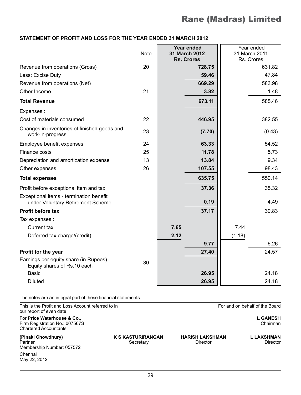#### **STATEMENT OF PROFIT AND LOSS FOR THE YEAR ENDED 31 MARCH 2012**

|                                                                              | <b>Note</b> |      | <b>Year ended</b><br>31 March 2012<br><b>Rs. Crores</b> | Year ended<br>31 March 2011<br>Rs. Crores |        |
|------------------------------------------------------------------------------|-------------|------|---------------------------------------------------------|-------------------------------------------|--------|
| Revenue from operations (Gross)                                              | 20          |      | 728.75                                                  |                                           | 631.82 |
| Less: Excise Duty                                                            |             |      | 59.46                                                   |                                           | 47.84  |
| Revenue from operations (Net)                                                |             |      | 669.29                                                  |                                           | 583.98 |
| Other Income                                                                 | 21          |      | 3.82                                                    |                                           | 1.48   |
| <b>Total Revenue</b>                                                         |             |      | 673.11                                                  |                                           | 585.46 |
| Expenses :                                                                   |             |      |                                                         |                                           |        |
| Cost of materials consumed                                                   | 22          |      | 446.95                                                  |                                           | 382.55 |
| Changes in inventories of finished goods and<br>work-in-progress             | 23          |      | (7.70)                                                  |                                           | (0.43) |
| Employee benefit expenses                                                    | 24          |      | 63.33                                                   |                                           | 54.52  |
| Finance costs                                                                | 25          |      | 11.78                                                   |                                           | 5.73   |
| Depreciation and amortization expense                                        | 13          |      | 13.84                                                   |                                           | 9.34   |
| Other expenses                                                               | 26          |      | 107.55                                                  |                                           | 98.43  |
| <b>Total expenses</b>                                                        |             |      | 635.75                                                  |                                           | 550.14 |
| Profit before exceptional item and tax                                       |             |      | 37.36                                                   |                                           | 35.32  |
| Exceptional items - termination benefit<br>under Voluntary Retirement Scheme |             |      | 0.19                                                    |                                           | 4.49   |
| <b>Profit before tax</b>                                                     |             |      | 37.17                                                   |                                           | 30.83  |
| Tax expenses :                                                               |             |      |                                                         |                                           |        |
| Current tax                                                                  |             | 7.65 |                                                         | 7.44                                      |        |
| Deferred tax charge/(credit)                                                 |             | 2.12 |                                                         | (1.18)                                    |        |
|                                                                              |             |      | 9.77                                                    |                                           | 6.26   |
| Profit for the year                                                          |             |      | 27.40                                                   |                                           | 24.57  |
| Earnings per equity share (in Rupees)<br>Equity shares of Rs.10 each         | 30          |      |                                                         |                                           |        |
| <b>Basic</b>                                                                 |             |      | 26.95                                                   |                                           | 24.18  |
| <b>Diluted</b>                                                               |             |      | 26.95                                                   |                                           | 24.18  |

The notes are an integral part of these financial statements

This is the Profit and Loss Account referred to in For and on behalf of the Board our report of even date For **Price Waterhouse & Co., L GANESH** Firm Registration No.: 007567S Chartered Accountants **(Pinaki Chowdhury) K S KASTURIRANGAN HARISH LAKSHMAN L LAKSHMAN** Partner Secretary Director Director Director Director Director Director Director Membership Number: 057572 Chennai May 22, 2012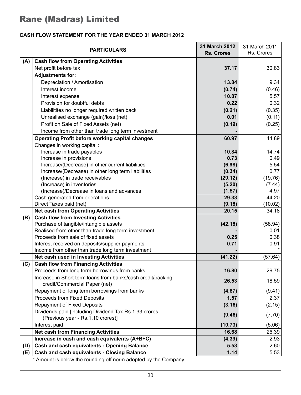#### **CASH FLOW STATEMENT FOR THE YEAR ENDED 31 MARCH 2012**

|     | <b>PARTICULARS</b>                                                                      | 31 March 2012<br><b>Rs. Crores</b> | 31 March 2011<br>Rs. Crores |
|-----|-----------------------------------------------------------------------------------------|------------------------------------|-----------------------------|
| (A) | <b>Cash flow from Operating Activities</b>                                              |                                    |                             |
|     | Net profit before tax                                                                   | 37.17                              | 30.83                       |
|     | <b>Adjustments for:</b>                                                                 |                                    |                             |
|     | Depreciation / Amortisation                                                             | 13.84                              | 9.34                        |
|     | Interest income                                                                         | (0.74)                             | (0.46)                      |
|     | Interest expense                                                                        | 10.87                              | 5.57                        |
|     | Provision for doubtful debts                                                            | 0.22                               | 0.32                        |
|     | Liabilitites no longer required written back                                            | (0.21)                             | (0.35)                      |
|     | Unrealised exchange (gain)/loss (net)                                                   | 0.01                               | (0.11)                      |
|     | Profit on Sale of Fixed Assets (net)                                                    | (0.19)                             | (0.25)                      |
|     | Income from other than trade long term investment                                       |                                    |                             |
|     | <b>Operating Profit before working capital changes</b>                                  | 60.97                              | 44.89                       |
|     | Changes in working capital :                                                            |                                    |                             |
|     | Increase in trade payables                                                              | 10.84                              | 14.74                       |
|     | Increase in provisions                                                                  | 0.73                               | 0.49                        |
|     | Increase/(Decrease) in other current liabilities                                        | (6.98)                             | 5.54                        |
|     | Increase/(Decrease) in other long term liabilities                                      | (0.34)                             | 0.77                        |
|     | (Increase) in trade receivables                                                         | (29.12)                            | (19.76)                     |
|     | (Increase) in inventories                                                               | (5.20)                             | (7.44)                      |
|     | (Increase)/Decrease in loans and advances                                               | (1.57)                             | 4.97                        |
|     | Cash generated from operations                                                          | 29.33                              | 44.20                       |
|     | Direct Taxes paid (net)                                                                 | (9.18)<br>20.15                    | (10.02)                     |
|     | <b>Net cash from Operating Activities</b><br><b>Cash flow from Investing Activities</b> |                                    | 34.18                       |
| (B) | Purchase of tangible/intangible assets                                                  | (42.18)                            | (58.94)                     |
|     | Realised from other than trade long term investment                                     |                                    | 0.01                        |
|     | Proceeds from sale of fixed assets                                                      | 0.25                               | 0.38                        |
|     | Interest received on deposits/supplier payments                                         | 0.71                               | 0.91                        |
|     | Income from other than trade long term investment                                       |                                    |                             |
|     | Net cash used in Investing Activities                                                   | (41.22)                            | (57.64)                     |
| (C) | <b>Cash flow from Financing Activities</b>                                              |                                    |                             |
|     | Proceeds from long term borrowings from banks                                           | 16.80                              | 29.75                       |
|     | Increase in Short term loans from banks/cash credit/packing                             | 26.53                              |                             |
|     | credit/Commercial Paper (net)                                                           |                                    | 18.59                       |
|     | Repayment of long term borrowings from banks                                            | (4.87)                             | (9.41)                      |
|     | Proceeds from Fixed Deposits                                                            | 1.57                               | 2.37                        |
|     | Repayment of Fixed Deposits                                                             | (3.16)                             | (2.15)                      |
|     | Dividends paid [including Dividend Tax Rs.1.33 crores                                   | (9.46)                             | (7.70)                      |
|     | (Previous year - Rs.1.10 crores)]                                                       |                                    |                             |
|     | Interest paid                                                                           | (10.73)                            | (5.06)                      |
|     | <b>Net cash from Financing Activities</b>                                               | 16.68                              | 26.39                       |
|     | Increase in cash and cash equivalents (A+B+C)                                           | (4.39)                             | 2.93                        |
| (D) | <b>Cash and cash equivalents - Opening Balance</b>                                      | 5.53                               | 2.60                        |
| (E) | <b>Cash and cash equivalents - Closing Balance</b>                                      | 1.14                               | 5.53                        |

Amount is below the rounding off norm adopted by the Company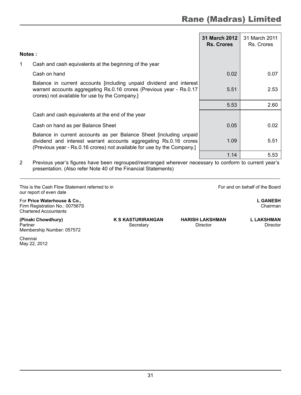|               |                                                                                                                                                                                                                    | 31 March 2012<br><b>Rs. Crores</b> | 31 March 2011<br>Rs. Crores |
|---------------|--------------------------------------------------------------------------------------------------------------------------------------------------------------------------------------------------------------------|------------------------------------|-----------------------------|
| <b>Notes:</b> |                                                                                                                                                                                                                    |                                    |                             |
| 1             | Cash and cash equivalents at the beginning of the year                                                                                                                                                             |                                    |                             |
|               | Cash on hand                                                                                                                                                                                                       | 0.02                               | 0.07                        |
|               | Balance in current accounts fincluding unpaid dividend and interest<br>warrant accounts aggregating Rs.0.16 crores (Previous year - Rs.0.17<br>crores) not available for use by the Company.]                      | 5.51                               | 2.53                        |
|               |                                                                                                                                                                                                                    | 5.53                               | 2.60                        |
|               | Cash and cash equivalents at the end of the year                                                                                                                                                                   |                                    |                             |
|               | Cash on hand as per Balance Sheet                                                                                                                                                                                  | 0.05                               | 0.02                        |
|               | Balance in current accounts as per Balance Sheet [including unpaid<br>dividend and interest warrant accounts aggregating Rs.0.16 crores<br>(Previous year - Rs.0.16 crores) not available for use by the Company.] | 1.09                               | 5.51                        |
|               |                                                                                                                                                                                                                    | 1.14                               | 5.53                        |

2 Previous year's figures have been regrouped/rearranged wherever necessary to conform to current year's presentation. (Also refer Note 40 of the Financial Statements)

This is the Cash Flow Statement referred to in For and on behalf of the Board our report of even date

For **Price Waterhouse & Co., L GANESH** Firm Registration No.:  $007567S$ Chartered Accountants

**(Pinaki Chowdhury) K S KASTURIRANGAN HARISH LAKSHMAN L LAKSHMAN**

Partner Secretary Director Director Director Director Director Director Membership Number: 057572

Chennai May 22, 2012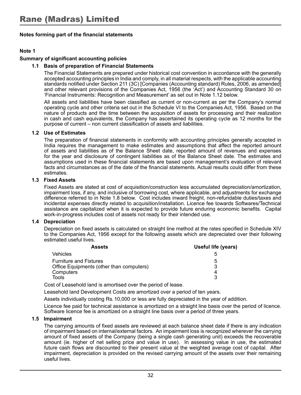#### **Note 1**

#### **Summary of significant accounting policies**

#### **1.1 Basis of preparation of Financial Statements**

The Financial Statements are prepared under historical cost convention in accordance with the generally accepted accounting principles in India and comply, in all material respects, with the applicable accounting standards notified under Section 211 (3C) [Companies (Accounting standard) Rules, 2006, as amended] and other relevant provisions of the Companies Act, 1956 (the 'Act') and Accounting Standard 30 on 'Financial Instruments: Recognition and Measurement' as set out in Note 1.12 below.

All assets and liabilities have been classified as current or non-current as per the Company's normal operating cycle and other criteria set out in the Schedule VI to the Companies Act, 1956. Based on the nature of products and the time between the acquisition of assets for processing and their realization in cash and cash equivalents, the Company has ascertained its operating cycle as 12 months for the purpose of current – non current classification of assets and liabilities.

#### **1.2 Use of Estimates**

The preparation of financial statements in conformity with accounting principles generally accepted in India requires the management to make estimates and assumptions that affect the reported amount of assets and liabilities as of the Balance Sheet date, reported amount of revenues and expenses for the year and disclosure of contingent liabilities as of the Balance Sheet date. The estimates and assumptions used in these financial statements are based upon management's evaluation of relevant facts and circumstances as of the date of the financial statements. Actual results could differ from these estimates.

#### **1.3 Fixed Assets**

Fixed Assets are stated at cost of acquisition/construction less accumulated depreciation/amortization, impairment loss, if any, and inclusive of borrowing cost, where applicable, and adjustments for exchange difference referred to in Note 1.8 below. Cost includes inward freight, non-refundable duties/taxes and incidental expenses directly related to acquisition/installation. Licence fee towards Softwares/Technical assistance are capitalized when it is expected to provide future enduring economic benefits. Capital work-in-progress includes cost of assets not ready for their intended use.

#### **1.4 Depreciation**

Depreciation on fixed assets is calculated on straight line method at the rates specified in Schedule XIV to the Companies Act, 1956 except for the following assets which are depreciated over their following estimated useful lives.

| Useful life (years) |
|---------------------|
|                     |
| :5                  |
| ີ                   |
| 4                   |
| 2                   |
|                     |

Cost of Leasehold land is amortised over the period of lease.

Leasehold land Development Costs are amortized over a period of ten years.

Assets individually costing Rs.10,000 or less are fully depreciated in the year of addition.

Licence fee paid for technical assistance is amortized on a straight line basis over the period of licence. Software licence fee is amortized on a straight line basis over a period of three years.

#### **1.5 Impairment**

The carrying amounts of fixed assets are reviewed at each balance sheet date if there is any indication of impairment based on internal/external factors. An impairment loss is recognized wherever the carrying amount of fixed assets of the Company (being a single cash generating unit) exceeds the recoverable amount (ie. higher of net selling price and value in use). In assessing value in use, the estimated future cash flows are discounted to their present value at the weighted average cost of capital. After impairment, depreciation is provided on the revised carrying amount of the assets over their remaining useful lives.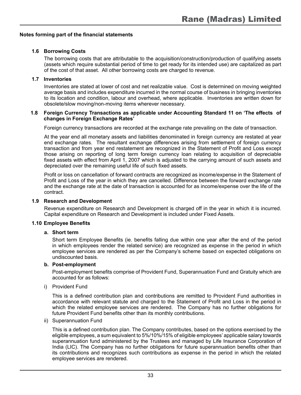#### **1.6 Borrowing Costs**

The borrowing costs that are attributable to the acquisition/construction/production of qualifying assets (assets which require substantial period of time to get ready for its intended use) are capitalized as part of the cost of that asset. All other borrowing costs are charged to revenue.

#### **1.7 Inventories**

Inventories are stated at lower of cost and net realizable value. Cost is determined on moving weighted average basis and includes expenditure incurred in the normal course of business in bringing inventories to its location and condition, labour and overhead, where applicable. Inventories are written down for obsolete/slow moving/non-moving items wherever necessary.

#### **1.8 Foreign Currency Transactions as applicable under Accounting Standard 11 on 'The effects of changes in Foreign Exchange Rates'**

Foreign currency transactions are recorded at the exchange rate prevailing on the date of transaction.

At the year end all monetary assets and liabilities denominated in foreign currency are restated at year end exchange rates. The resultant exchange differences arising from settlement of foreign currency transaction and from year end restatement are recognized in the Statement of Profit and Loss except those arising on reporting of long term foreign currency loan relating to acquisition of depreciable fixed assets with effect from April 1, 2007 which is adjusted to the carrying amount of such assets and depreciated over the remaining useful life of such fixed assets.

Profit or loss on cancellation of forward contracts are recognized as income/expense in the Statement of Profit and Loss of the year in which they are cancelled. Difference between the forward exchange rate and the exchange rate at the date of transaction is accounted for as income/expense over the life of the contract.

#### **1.9 Research and Development**

Revenue expenditure on Research and Development is charged off in the year in which it is incurred. Capital expenditure on Research and Development is included under Fixed Assets.

#### **1.10 Employee Benefits**

#### **a. Short term**

Short term Employee Benefits (ie. benefits falling due within one year after the end of the period in which employees render the related service) are recognized as expense in the period in which employee services are rendered as per the Company's scheme based on expected obligations on undiscounted basis.

#### **b. Post-employment**

Post-employment benefits comprise of Provident Fund, Superannuation Fund and Gratuity which are accounted for as follows:

i) Provident Fund

This is a defined contribution plan and contributions are remitted to Provident Fund authorities in accordance with relevant statute and charged to the Statement of Profit and Loss in the period in which the related employee services are rendered. The Company has no further obligations for future Provident Fund benefits other than its monthly contributions.

ii) Superannuation Fund

This is a defined contribution plan. The Company contributes, based on the options exercised by the eligible employees, a sum equivalent to 5%/10%/15% of eligible employees' applicable salary towards superannuation fund administered by the Trustees and managed by Life Insurance Corporation of India (LIC). The Company has no further obligations for future superannuation benefits other than its contributions and recognizes such contributions as expense in the period in which the related employee services are rendered.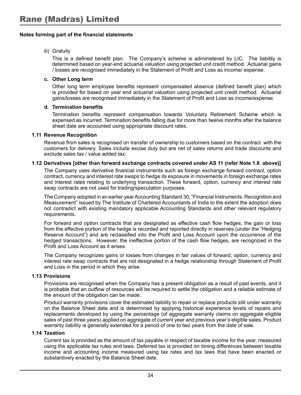#### iii) Gratuity

This is a defined benefit plan. The Company's scheme is administered by LIC. The liability is determined based on year-end actuarial valuation using projected unit credit method. Actuarial gains / losses are recognised immediately in the Statement of Profit and Loss as income/ expense.

#### **c. Other Long term**

Other long term employee benefits represent compensated absence (defined benefit plan) which is provided for based on year end actuarial valuation using projected unit credit method. Actuarial gains/losses are recognised immediately in the Statement of Profit and Loss as income/expense.

#### **d. Termination benefits**

Termination benefits represent compensation towards Voluntary Retirement Scheme which is expensed as incurred. Termination benefits falling due for more than twelve months after the balance sheet date are accounted using appropriate discount rates.

#### **1.11 Revenue Recognition**

Revenue from sales is recognised on transfer of ownership to customers based on the contract with the customers for delivery. Sales include excise duty but are net of sales returns and trade discounts and exclude sales tax / value added tax.

#### **1.12 Derivatives [other than forward exchange contracts covered under AS 11 (refer Note 1.8 above)]**

The Company uses derivative financial instruments such as foreign exchange forward contract, option contract, currency and interest rate swaps to hedge its exposure in movements in foreign exchange rates and interest rates relating to underlying transaction. These forward, option, currency and interest rate swap contracts are not used for trading/speculation purposes.

The Company adopted in an earlier year Accounting Standard 30, "Financial Instruments: Recognition and Measurement" issued by The Institute of Chartered Accountants of India to the extent the adoption does not contradict with existing mandatory applicable Accounting Standards and other relevant regulatory requirements.

For forward and option contracts that are designated as effective cash flow hedges, the gain or loss from the effective portion of the hedge is recorded and reported directly in reserves (under the "Hedging Reserve Account") and are reclassified into the Profit and Loss Account upon the occurrence of the hedged transactions. However, the ineffective portion of the cash flow hedges, are recognized in the Profit and Loss Account as it arises.

The Company recognizes gains or losses from changes in fair values of forward, option, currency and interest rate swap contracts that are not designated in a hedge relationship through Statement of Profit and Loss in the period in which they arise.

#### **1.13 Provisions**

Provisions are recognised when the Company has a present obligation as a result of past events, and it is probable that an outflow of resources will be required to settle the obligation and a reliable estimate of the amount of the obligation can be made.

Product warranty provisions cover the estimated liability to repair or replace products still under warranty on the Balance Sheet date and is determined by applying historical experience levels of repairs and replacements developed by using the percentage (of aggregate warranty claims on aggregate eligible sales of past three years) applied on aggregate of current year and previous year's eligible sales. Product warranty liability is generally extended for a period of one to two years from the date of sale.

#### **1.14 Taxation**

Current tax is provided as the amount of tax payable in respect of taxable income for the year, measured using the applicable tax rules and laws. Deferred tax is provided on timing differences between taxable income and accounting income measured using tax rates and tax laws that have been enacted or substantively enacted by the Balance Sheet date.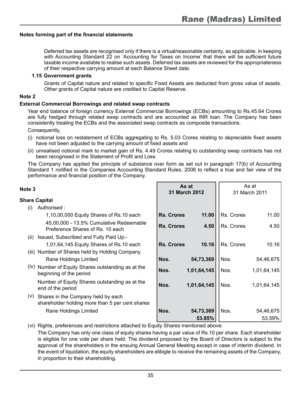Deferred tax assets are recognised only if there is a virtual/reasonable certainty, as applicable, in keeping with Accounting Standard 22 on 'Accounting for Taxes on Income' that there will be sufficient future taxable income available to realise such assets. Deferred tax assets are reviewed for the appropriateness of their respective carrying amount at each Balance Sheet date.

#### **1.15 Government grants**

Grants of Capital nature and related to specific Fixed Assets are deducted from gross value of assets. Other grants of Capital nature are credited to Capital Reserve.

#### **Note 2**

#### **External Commercial Borrowings and related swap contracts**

Year end balance of foreign currency External Commercial Borrowings (ECBs) amounting to Rs.45.64 Crores are fully hedged through related swap contracts and are accounted as INR loan. The Company has been consistently treating the ECBs and the associated swap contracts as composite transactions.

Consequently,

- (i) notional loss on restatement of ECBs aggregating to Rs. 5.03 Crores relating to depreciable fixed assets have not been adjusted to the carrying amount of fixed assets and
- (ii) unrealised notional mark to market gain of Rs. 4.49 Crores relating to outstanding swap contracts has not been recognised in the Statement of Profit and Loss

The Company has applied the principle of substance over form as set out in paragraph 17(b) of Accounting Standard 1 notified in the Companies Accounting Standard Rules, 2006 to reflect a true and fair view of the performance and financial position of the Company.

| Note 3 |                                                                                       |                   | As at<br><b>31 March 2012</b> |            | As at<br>31 March 2011 |
|--------|---------------------------------------------------------------------------------------|-------------------|-------------------------------|------------|------------------------|
|        | Share Capital                                                                         |                   |                               |            |                        |
| (1)    | Authorised:                                                                           |                   |                               |            |                        |
|        | 1,10,00,000 Equity Shares of Rs.10 each                                               | <b>Rs. Crores</b> | 11.00                         | Rs. Crores | 11.00                  |
|        | 45,00,000 - 13.5% Cumulative Redeemable<br>Preference Shares of Rs. 10 each           | <b>Rs. Crores</b> | 4.50                          | Rs. Crores | 4.50                   |
| (ii)   | Issued, Subscribed and Fully Paid Up:-                                                |                   |                               |            |                        |
|        | 1,01,64,145 Equity Shares of Rs.10 each                                               | <b>Rs. Crores</b> | 10.16                         | Rs. Crores | 10.16                  |
|        | (iii) Number of Shares held by Holding Company                                        |                   |                               |            |                        |
|        | Rane Holdings Limited                                                                 | Nos.              | 54,73,369                     | Nos.       | 54,46,675              |
|        | (iv) Number of Equity Shares outstanding as at the<br>beginning of the period         | Nos.              | 1,01,64,145                   | Nos.       | 1,01,64,145            |
|        | Number of Equity Shares outstanding as at the<br>end of the period                    | Nos.              | 1,01,64,145                   | Nos.       | 1,01,64,145            |
| (V)    | Shares in the Company held by each<br>shareholder holding more than 5 per cent shares |                   |                               |            |                        |
|        | Rane Holdings Limited                                                                 | Nos.              | 54,73,369                     | Nos.       | 54,46,675              |
|        |                                                                                       |                   | 53.85%                        |            | 53.59%                 |

(vi) Rights, preferences and restrictions attached to Equity Shares mentioned above: The Company has only one class of equity shares having a par value of Rs.10 per share. Each shareholder is eligible for one vote per share held. The dividend proposed by the Board of Directors is subject to the approval of the shareholders in the ensuing Annual General Meeting except in case of interim dividend. In the event of liquidation, the equity shareholders are elibigle to receive the remaining assets of the Company, in proportion to their shareholding.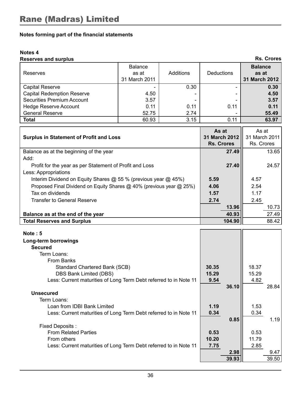#### **Notes 4**

| <b>Reserves and surplus</b>       |                                          |           |            | <b>Rs. Crores</b>                        |
|-----------------------------------|------------------------------------------|-----------|------------|------------------------------------------|
| Reserves                          | <b>Balance</b><br>as at<br>31 March 2011 | Additions | Deductions | <b>Balance</b><br>as at<br>31 March 2012 |
| Capital Reserve                   |                                          | 0.30      |            | 0.30                                     |
| <b>Capital Redemption Reserve</b> | 4.50                                     |           |            | 4.50                                     |
| Securities Premium Account        | 3.57                                     |           |            | 3.57                                     |
| <b>Hedge Reserve Account</b>      | 0.11                                     | 0.11      | 0.11       | 0.11                                     |
| <b>General Reserve</b>            | 52.75                                    | 2.74      |            | 55.49                                    |
| <b>Total</b>                      | 60.93                                    | 3.15      | 0.11       | 63.97                                    |

| <b>Surplus in Statement of Profit and Loss</b>                       | As at<br><b>31 March 2012</b><br>Rs. Crores | As at<br>31 March 2011<br>Rs. Crores |
|----------------------------------------------------------------------|---------------------------------------------|--------------------------------------|
| Balance as at the beginning of the year                              | 27.49                                       | 13.65                                |
| Add:                                                                 |                                             |                                      |
| Profit for the year as per Statement of Profit and Loss              | 27.40                                       | 24.57                                |
| Less: Appropriations                                                 |                                             |                                      |
| Interim Dividend on Equity Shares @ 55 % (previous year @ 45%)       | 5.59                                        | 4.57                                 |
| Proposed Final Dividend on Equity Shares @ 40% (previous year @ 25%) | 4.06                                        | 2.54                                 |
| Tax on dividends                                                     | 1.57                                        | 1.17                                 |
| Transfer to General Reserve                                          | 2.74                                        | 2.45                                 |
|                                                                      | 13.96                                       | 10.73                                |
| Balance as at the end of the year                                    | 40.93                                       | 27.49                                |
| <b>Total Reserves and Surplus</b>                                    | 104.90                                      | 88.42                                |

| Note: 5                                                           |       |       |       |       |
|-------------------------------------------------------------------|-------|-------|-------|-------|
| Long-term borrowings                                              |       |       |       |       |
| <b>Secured</b>                                                    |       |       |       |       |
| Term Loans:                                                       |       |       |       |       |
| From Banks                                                        |       |       |       |       |
| Standard Chartered Bank (SCB)                                     | 30.35 |       | 18.37 |       |
| DBS Bank Limited (DBS)                                            | 15.29 |       | 15.29 |       |
| Less: Current maturities of Long Term Debt referred to in Note 11 | 9.54  |       | 4.82  |       |
|                                                                   |       | 36.10 |       | 28.84 |
| <b>Unsecured</b>                                                  |       |       |       |       |
| Term Loans:                                                       |       |       |       |       |
| Loan from IDBI Bank Limited                                       | 1.19  |       | 1.53  |       |
| Less: Current maturities of Long Term Debt referred to in Note 11 | 0.34  |       | 0.34  |       |
|                                                                   |       | 0.85  |       | 1.19  |
| Fixed Deposits:                                                   |       |       |       |       |
| <b>From Related Parties</b>                                       | 0.53  |       | 0.53  |       |
| From others                                                       | 10.20 |       | 11.79 |       |
| Less: Current maturities of Long Term Debt referred to in Note 11 | 7.75  |       | 2.85  |       |
|                                                                   |       | 2.98  |       | 9.47  |
|                                                                   |       | 39.93 |       | 39.50 |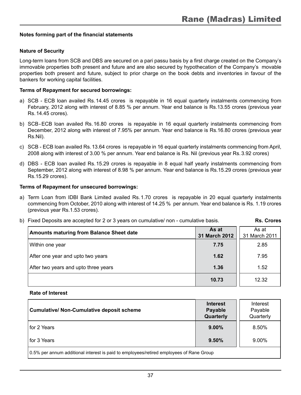#### **Nature of Security**

Long-term loans from SCB and DBS are secured on a pari passu basis by a first charge created on the Company's immovable properties both present and future and are also secured by hypothecation of the Company's movable properties both present and future, subject to prior charge on the book debts and inventories in favour of the bankers for working capital facilities.

#### **Terms of Repayment for secured borrowings:**

- a) SCB ECB loan availed Rs.14.45 crores is repayable in 16 equal quarterly instalments commencing from February, 2012 along with interest of 8.85 % per annum. Year end balance is Rs.13.55 crores (previous year Rs.14.45 crores).
- b) SCB-ECB loan availed Rs.16.80 crores is repayable in 16 equal quarterly instalments commencing from December, 2012 along with interest of 7.95% per annum. Year end balance is Rs.16.80 crores (previous year Rs.Nil).
- c) SCB ECB loan availed Rs.13.64 crores is repayable in 16 equal quarterly instalments commencing from April, 2008 along with interest of 3.00 % per annum. Year end balance is Rs. Nil (previous year Rs.3.92 crores)
- d) DBS ECB loan availed Rs.15.29 crores is repayable in 8 equal half yearly instalments commencing from September, 2012 along with interest of 8.98 % per annum. Year end balance is Rs.15.29 crores (previous year Rs.15.29 crores).

#### **Terms of Repayment for unsecured borrowings:**

- a) Term Loan from IDBI Bank Limited availed Rs.1.70 crores is repayable in 20 equal quarterly instalments commencing from October, 2010 along with interest of 14.25 % per annum. Year end balance is Rs. 1.19 crores (previous year Rs.1.53 crores).
- b) Fixed Deposits are accepted for 2 or 3 years on cumulative/ non cumulative basis. **Rs. Crores**

| <b>Amounts maturing from Balance Sheet date</b> | As at<br>31 March 2012 | As at<br>31 March 2011 |
|-------------------------------------------------|------------------------|------------------------|
| Within one year                                 | 7.75                   | 2.85                   |
| After one year and upto two years               | 1.62                   | 7.95                   |
| After two years and upto three years            | 1.36                   | 1.52                   |
|                                                 | 10.73                  | 12.32                  |

#### **Rate of Interest**

| <b>Cumulative/ Non-Cumulative deposit scheme</b>                                         | <b>Interest</b><br><b>Payable</b><br>Quarterly | Interest<br>Payable<br>Quarterly |
|------------------------------------------------------------------------------------------|------------------------------------------------|----------------------------------|
| l for 2 Years                                                                            | $9.00\%$                                       | 8.50%                            |
| l for 3 Years                                                                            | 9.50%                                          | 9.00%                            |
| 10.5% per annum additional interest is paid to employees/retired employees of Rane Group |                                                |                                  |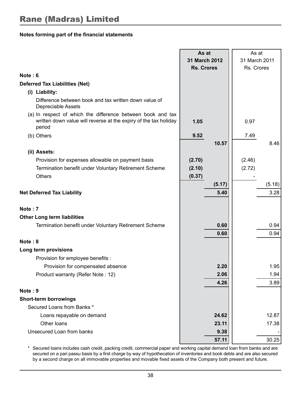|                                                                                                                                           | As at<br>31 March 2012 |        | As at<br>31 March 2011 |        |
|-------------------------------------------------------------------------------------------------------------------------------------------|------------------------|--------|------------------------|--------|
|                                                                                                                                           | <b>Rs. Crores</b>      |        | Rs. Crores             |        |
| Note: $6$                                                                                                                                 |                        |        |                        |        |
| <b>Deferred Tax Liabilities (Net)</b>                                                                                                     |                        |        |                        |        |
| (i) Liability:                                                                                                                            |                        |        |                        |        |
| Difference between book and tax written down value of<br>Depreciable Assets                                                               |                        |        |                        |        |
| (a) In respect of which the difference between book and tax<br>written down value will reverse at the expiry of the tax holiday<br>period | 1.05                   |        | 0.97                   |        |
| (b) Others                                                                                                                                | 9.52                   |        | 7.49                   |        |
|                                                                                                                                           |                        | 10.57  |                        | 8.46   |
| (ii) Assets:                                                                                                                              |                        |        |                        |        |
| Provision for expenses allowable on payment basis                                                                                         | (2.70)                 |        | (2.46)                 |        |
| Termination benefit under Voluntary Retirement Scheme                                                                                     | (2.10)                 |        | (2.72)                 |        |
| <b>Others</b>                                                                                                                             | (0.37)                 |        |                        |        |
|                                                                                                                                           |                        | (5.17) |                        | (5.18) |
| <b>Net Deferred Tax Liability</b>                                                                                                         |                        | 5.40   |                        | 3.28   |
| Note: 7                                                                                                                                   |                        |        |                        |        |
| <b>Other Long term liabilities</b>                                                                                                        |                        |        |                        |        |
| Termination benefit under Voluntary Retirement Scheme                                                                                     |                        | 0.60   |                        | 0.94   |
|                                                                                                                                           |                        | 0.60   |                        | 0.94   |
| Note: 8                                                                                                                                   |                        |        |                        |        |
| Long term provisions                                                                                                                      |                        |        |                        |        |
| Provision for employee benefits :                                                                                                         |                        |        |                        |        |
| Provision for compensated absence                                                                                                         |                        | 2.20   |                        | 1.95   |
| Product warranty (Refer Note: 12)                                                                                                         |                        | 2.06   |                        | 1.94   |
|                                                                                                                                           |                        | 4.26   |                        | 3.89   |
| Note: 9                                                                                                                                   |                        |        |                        |        |
| <b>Short-term borrowings</b>                                                                                                              |                        |        |                        |        |
| Secured Loans from Banks *                                                                                                                |                        |        |                        |        |
| Loans repayable on demand                                                                                                                 |                        | 24.62  |                        | 12.87  |
| Other loans                                                                                                                               |                        | 23.11  |                        | 17.38  |
| Unsecured Loan from banks                                                                                                                 |                        | 9.38   |                        |        |
|                                                                                                                                           |                        | 57.11  |                        | 30.25  |

\* Secured loans includes cash credit, packing credit, commercial paper and working capital demand loan from banks and are secured on a pari passu basis by a first charge by way of hypothecation of inventories and book debts and are also secured by a second charge on all immovable properties and movable fixed assets of the Company both present and future.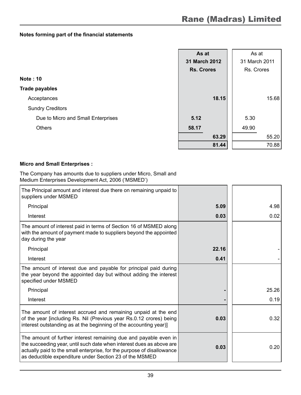|                                    | As at             | As at         |       |
|------------------------------------|-------------------|---------------|-------|
|                                    | 31 March 2012     | 31 March 2011 |       |
|                                    | <b>Rs. Crores</b> | Rs. Crores    |       |
| <b>Note: 10</b>                    |                   |               |       |
| <b>Trade payables</b>              |                   |               |       |
| Acceptances                        | 18.15             |               | 15.68 |
| <b>Sundry Creditors</b>            |                   |               |       |
| Due to Micro and Small Enterprises | 5.12              | 5.30          |       |
| <b>Others</b>                      | 58.17             | 49.90         |       |
|                                    | 63.29             |               | 55.20 |
|                                    | 81.44             |               | 70.88 |

#### **Micro and Small Enterprises :**

The Company has amounts due to suppliers under Micro, Small and Medium Enterprises Development Act, 2006 ('MSMED')

| The Principal amount and interest due there on remaining unpaid to<br>suppliers under MSMED                                                                                                                                                                                   |       |       |
|-------------------------------------------------------------------------------------------------------------------------------------------------------------------------------------------------------------------------------------------------------------------------------|-------|-------|
| Principal                                                                                                                                                                                                                                                                     | 5.09  | 4.98  |
| Interest                                                                                                                                                                                                                                                                      | 0.03  | 0.02  |
| The amount of interest paid in terms of Section 16 of MSMED along<br>with the amount of payment made to suppliers beyond the appointed<br>day during the year                                                                                                                 |       |       |
| Principal                                                                                                                                                                                                                                                                     | 22.16 |       |
| Interest                                                                                                                                                                                                                                                                      | 0.41  |       |
| The amount of interest due and payable for principal paid during<br>the year beyond the appointed day but without adding the interest<br>specified under MSMED                                                                                                                |       |       |
| Principal                                                                                                                                                                                                                                                                     |       | 25.26 |
| Interest                                                                                                                                                                                                                                                                      |       | 0.19  |
| The amount of interest accrued and remaining unpaid at the end<br>of the year [including Rs. Nil (Previous year Rs.0.12 crores) being<br>interest outstanding as at the beginning of the accounting year)]                                                                    | 0.03  | 0.32  |
| The amount of further interest remaining due and payable even in<br>the succeeding year, until such date when interest dues as above are<br>actually paid to the small enterprise, for the purpose of disallowance<br>as deductible expenditure under Section 23 of the MSMED | 0.03  | 0.20  |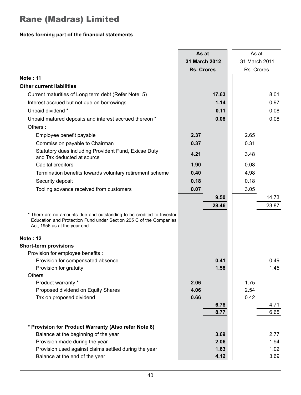|                                                                                                                                                                              | As at             |               | As at         |       |
|------------------------------------------------------------------------------------------------------------------------------------------------------------------------------|-------------------|---------------|---------------|-------|
|                                                                                                                                                                              |                   | 31 March 2012 | 31 March 2011 |       |
|                                                                                                                                                                              | <b>Rs. Crores</b> |               | Rs. Crores    |       |
| <b>Note: 11</b>                                                                                                                                                              |                   |               |               |       |
| <b>Other current liabilities</b>                                                                                                                                             |                   |               |               |       |
| Current maturities of Long term debt (Refer Note: 5)                                                                                                                         |                   | 17.63         |               | 8.01  |
| Interest accrued but not due on borrowings                                                                                                                                   |                   | 1.14          |               | 0.97  |
| Unpaid dividend *                                                                                                                                                            |                   | 0.11          |               | 0.08  |
| Unpaid matured deposits and interest accrued thereon *                                                                                                                       |                   | 0.08          |               | 0.08  |
| Others:                                                                                                                                                                      |                   |               |               |       |
| Employee benefit payable                                                                                                                                                     | 2.37              |               | 2.65          |       |
| Commission payable to Chairman                                                                                                                                               | 0.37              |               | 0.31          |       |
| Statutory dues including Provident Fund, Exicse Duty                                                                                                                         | 4.21              |               | 3.48          |       |
| and Tax deducted at source                                                                                                                                                   |                   |               |               |       |
| Capital creditors                                                                                                                                                            | 1.90              |               | 0.08          |       |
| Termination benefits towards voluntary retirement scheme                                                                                                                     | 0.40              |               | 4.98          |       |
| Security deposit                                                                                                                                                             | 0.18              |               | 0.18          |       |
| Tooling advance received from customers                                                                                                                                      | 0.07              |               | 3.05          |       |
|                                                                                                                                                                              |                   | 9.50          |               | 14.73 |
|                                                                                                                                                                              |                   | 28.46         |               | 23.87 |
| * There are no amounts due and outstanding to be credited to Investor<br>Education and Protection Fund under Section 205 C of the Companies<br>Act, 1956 as at the year end. |                   |               |               |       |
| <b>Note: 12</b>                                                                                                                                                              |                   |               |               |       |
| <b>Short-term provisions</b>                                                                                                                                                 |                   |               |               |       |
| Provision for employee benefits :                                                                                                                                            |                   |               |               |       |
| Provision for compensated absence                                                                                                                                            |                   | 0.41          |               | 0.49  |
| Provision for gratuity                                                                                                                                                       |                   | 1.58          |               | 1.45  |
| Others                                                                                                                                                                       |                   |               |               |       |
| Product warranty *                                                                                                                                                           | 2.06              |               | 1.75          |       |
| Proposed dividend on Equity Shares                                                                                                                                           | 4.06              |               | 2.54          |       |
| Tax on proposed dividend                                                                                                                                                     | 0.66              | 6.78          | 0.42          | 4.71  |
|                                                                                                                                                                              |                   | 8.77          |               | 6.65  |
|                                                                                                                                                                              |                   |               |               |       |
| * Provision for Product Warranty (Also refer Note 8)                                                                                                                         |                   |               |               |       |
| Balance at the beginning of the year                                                                                                                                         |                   | 3.69          |               | 2.77  |
| Provision made during the year                                                                                                                                               |                   | 2.06          |               | 1.94  |
| Provision used against claims settled during the year                                                                                                                        |                   | 1.63          |               | 1.02  |
| Balance at the end of the year                                                                                                                                               |                   | 4.12          |               | 3.69  |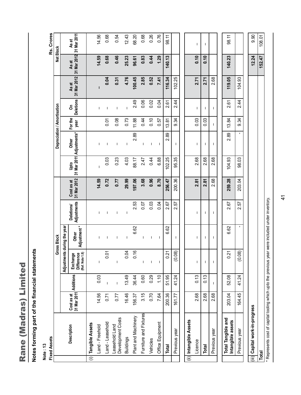Rane (Madras) Limited Rane (Madras) Limited  $\mathbf{I}$ 

# Notes forming part of the financial statements **Notes forming part of the financial statements**

**Note : 13**

| <b>Fixed Assets</b>                     |                           |              |                                           |                          |                                  |                           |        |                                    |                        |                       |                      |                      | Rs. Crores           |  |
|-----------------------------------------|---------------------------|--------------|-------------------------------------------|--------------------------|----------------------------------|---------------------------|--------|------------------------------------|------------------------|-----------------------|----------------------|----------------------|----------------------|--|
|                                         |                           |              |                                           | <b>Gross Block</b>       |                                  |                           |        | <b>Depreciation / Amortisation</b> |                        |                       |                      | Net Block            |                      |  |
|                                         |                           |              | Adjustments during the year               |                          |                                  |                           |        |                                    |                        |                       |                      |                      |                      |  |
| Description                             | Cost as at<br>31 Mar 2011 | Additions    | Difference<br>(Ref. Note 1.8)<br>Exchange | Adjustment *<br>Other    | Adjustments<br><b>Deletions/</b> | 31 Mar 2012<br>Cost as at | gad    | 31 Mar 2011 Adjustments*<br>Other  | <b>For the</b><br>year | <b>Deletions</b><br>δ | 31 Mar 2012<br>As at | 31 Mar 2012<br>As at | 31 Mar 2011<br>As at |  |
| (i) Tangible Assets                     |                           |              |                                           |                          |                                  |                           |        |                                    |                        |                       |                      |                      |                      |  |
| Land - Freehold                         | 14.56                     | 0.03         | I                                         | I                        | I.                               | 14.59                     | I      | I                                  |                        | I.                    | п                    | 14.59                | 14.56                |  |
| Land - Leasehold                        | 0.71                      | T            | 0.01                                      | ı                        | $\mathbf{I}$                     | 0.72                      | 0.03   | J.                                 | 0.01                   | ı                     | 0.04                 | 0.68                 | 0.68                 |  |
| Leasehold Land<br>Development Costs     | 77                        | $\mathbf{I}$ | T                                         | I                        | J.                               | 77                        | 0.23   | $\mathbf{I}$                       | 0.08                   | T                     | 0.31                 | 0.46                 | 0.54                 |  |
| <b>Buildings</b>                        | 16.46                     | 13.49        | 0.04                                      | $\overline{\phantom{a}}$ | $\mathbf{I}$                     | 29.99                     | 4.03   | $\overline{\phantom{a}}$           | 0.73                   | $\mathbf{I}$          | 4.76                 | 25.23                | 12.43                |  |
| Plant and Machinery                     | 156.37                    | 36.44        | 0.16                                      | 6.62                     | 2.53                             | 197.06                    | 88.17  | 2.89                               | 11.88                  | 2.49                  | 100.45               | 96.61                | 68.20                |  |
| Furniture and Fixtures                  | 3.15                      | 0.60         | T                                         | $\mathbf{I}$             | 0.07                             | 3.68                      | 2.47   | T                                  | 0.44                   | 0.06                  | 2.85                 | 0.83                 | 0.68                 |  |
| Vehicles                                | 0.70                      | 0.29         | $\mathbf{I}$                              | J.                       | 0.03                             | 0.96                      | 0.44   | $\mathbf{I}$                       | 0.10                   | 0.02                  | 0.52                 | 0.44                 | 0.26                 |  |
| Office Equipment                        | 7.64                      | 1.10         | J.                                        | J.                       | 0.04                             | 8.70                      | 6.88   | J.                                 | 0.57                   | 0.04                  | 7.41                 | 1.29                 | 0.76                 |  |
| Total                                   | 200.36                    | 51.95        | 0.21                                      | 6.62                     | 2.67                             | 256.47                    | 102.25 | 2.89                               | 13.81                  | 2.61                  | 116.34               | 140.13               | 98.11                |  |
| Previous year                           | 161.77                    | 41.24        | (0.08)                                    | т                        | 57<br>Ń۰                         | 200.36                    | 95.35  | T                                  | 9.34                   | 2.44                  | 102.25               |                      |                      |  |
|                                         |                           |              |                                           |                          |                                  |                           |        |                                    |                        |                       |                      |                      |                      |  |
| (ii) Intangible Assets                  |                           |              |                                           |                          |                                  |                           |        |                                    |                        |                       |                      |                      |                      |  |
| Licence                                 | 2.68                      | 0.13         | I                                         | T                        | т                                | 2.81                      | 2.68   | I                                  | 0.03                   | т                     | 2.71                 | 0.10                 | T                    |  |
| <b>Total</b>                            | 2.68                      | 0.13         | T                                         | т                        | T                                | 2.81                      | 2.68   | T                                  | 0.03                   | T                     | 2.71                 | $\frac{6}{10}$       | т                    |  |
| Previous year                           | 2.68                      | T            | I                                         | T                        | T                                | 2.68                      | 2.68   | I                                  | I                      | T                     | 2.68                 |                      |                      |  |
|                                         |                           |              |                                           |                          |                                  |                           |        |                                    |                        |                       |                      |                      |                      |  |
| Total Tangible and<br>Intangible assets | 203.04                    | 52.08        | 0.21                                      | 6.62                     | 2.67                             | 259.28                    | 104.93 | 89<br>Ń۰                           | 13.84                  | 2.61                  | 119.05               | 140.23               | 98.11                |  |
| Previous year                           | 164.45                    | 41.24        | (0.08)                                    |                          | 2.57                             | 203.04                    | 98.03  | $\blacksquare$                     | 9.34                   | 2.44                  | 104.93               |                      |                      |  |
|                                         |                           |              |                                           |                          |                                  |                           |        |                                    |                        |                       |                      |                      |                      |  |
| (iii) Capital work-in-progress          |                           |              |                                           |                          |                                  |                           |        |                                    |                        |                       |                      | 12.24                | 0.90                 |  |
| Total                                   |                           |              |                                           |                          |                                  |                           |        |                                    |                        |                       |                      | 152.47               | 108.01               |  |

\* Represents cost of capital tooling which upto the previous year were included under inventory. \* Represents cost of capital tooling which upto the previous year were included under inventory.

41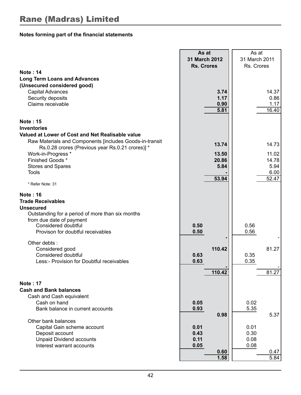|                                                                                                                                                                                                             | As at<br>31 March 2012                       | As at<br>31 March 2011                       |
|-------------------------------------------------------------------------------------------------------------------------------------------------------------------------------------------------------------|----------------------------------------------|----------------------------------------------|
|                                                                                                                                                                                                             | <b>Rs. Crores</b>                            | Rs. Crores                                   |
| <b>Note: 14</b><br><b>Long Term Loans and Advances</b><br>(Unsecured considered good)<br>Capital Advances<br>Security deposits<br>Claims receivable                                                         | 3.74<br>1.17<br>0.90<br>5.81                 | 14.37<br>0.86<br>1.17<br>16.40               |
|                                                                                                                                                                                                             |                                              |                                              |
| <b>Note: 15</b><br><b>Inventories</b><br>Valued at Lower of Cost and Net Realisable value                                                                                                                   |                                              |                                              |
| Raw Materials and Components [includes Goods-in-transit<br>Rs.0.28 crores (Previous year Rs.0.21 crores)] *<br>Work-in-Progress *                                                                           | 13.74<br>13.50                               | 14.73<br>11.02                               |
| Finished Goods*<br>Stores and Spares<br>Tools                                                                                                                                                               | 20.86<br>5.84                                | 14.78<br>5.94<br>6.00                        |
| * Refer Note: 31                                                                                                                                                                                            | 53.94                                        | 52.47                                        |
| <b>Note: 16</b><br><b>Trade Receivables</b><br><b>Unsecured</b><br>Outstanding for a period of more than six months<br>from due date of payment<br>Considered doubtful<br>Provison for doubtful receivables | 0.50<br>0.50                                 | 0.56<br>0.56                                 |
| Other debts:<br>Considered good<br>Considered doubtful<br>Less:- Provision for Doubtful receivables                                                                                                         | 110.42<br>0.63<br>0.63                       | 81.27<br>0.35<br>0.35                        |
|                                                                                                                                                                                                             | 110.42                                       | 81.27                                        |
| <b>Note: 17</b><br><b>Cash and Bank balances</b><br>Cash and Cash equivalent<br>Cash on hand<br>Bank balance in current accounts                                                                            | 0.05<br>0.93<br>0.98                         | 0.02<br>5.35<br>5.37                         |
| Other bank balances<br>Capital Gain scheme account<br>Deposit account<br><b>Unpaid Dividend accounts</b><br>Interest warrant accounts                                                                       | 0.01<br>0.43<br>0.11<br>0.05<br>0.60<br>1.58 | 0.01<br>0.30<br>0.08<br>0.08<br>0.47<br>5.84 |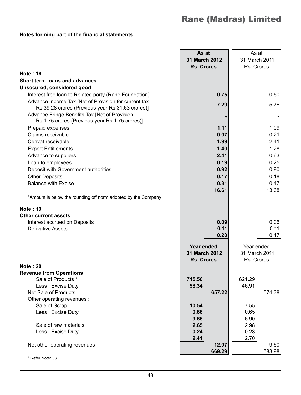|                                                                                                          | As at             | As at          |
|----------------------------------------------------------------------------------------------------------|-------------------|----------------|
|                                                                                                          | 31 March 2012     | 31 March 2011  |
|                                                                                                          | <b>Rs. Crores</b> | Rs. Crores     |
| <b>Note: 18</b>                                                                                          |                   |                |
| Short term loans and advances                                                                            |                   |                |
| Unsecured, considered good                                                                               |                   |                |
| Interest free loan to Related party (Rane Foundation)                                                    | 0.75              | 0.50           |
| Advance Income Tax [Net of Provision for current tax<br>Rs.39.28 crores (Previous year Rs.31.63 crores)] | 7.29              | 5.76           |
| Advance Fringe Benefits Tax [Net of Provision<br>Rs.1.75 crores (Previous year Rs.1.75 crores)]          | $\star$           |                |
| Prepaid expenses                                                                                         | 1.11              | 1.09           |
| Claims receivable                                                                                        | 0.07              | 0.21           |
| Cenvat receivable                                                                                        | 1.99              | 2.41           |
| <b>Export Entitlements</b>                                                                               | 1.40              | 1.28           |
| Advance to suppliers                                                                                     | 2.41              | 0.63           |
| Loan to employees                                                                                        | 0.19              | 0.25           |
| Deposit with Government authorities                                                                      | 0.92              | 0.90           |
| <b>Other Deposits</b>                                                                                    | 0.17              | 0.18           |
| <b>Balance with Excise</b>                                                                               | 0.31              | 0.47           |
|                                                                                                          | 16.61             | 13.68          |
| *Amount is below the rounding off norm adopted by the Company                                            |                   |                |
| Note: 19                                                                                                 |                   |                |
| <b>Other current assets</b>                                                                              |                   |                |
| Interest accrued on Deposits                                                                             | 0.09              | 0.06           |
| <b>Derivative Assets</b>                                                                                 | 0.11              | 0.11           |
|                                                                                                          | 0.20              | 0.17           |
|                                                                                                          | Year ended        | Year ended     |
|                                                                                                          | 31 March 2012     | 31 March 2011  |
|                                                                                                          | <b>Rs. Crores</b> | Rs. Crores     |
| <b>Note: 20</b>                                                                                          |                   |                |
| <b>Revenue from Operations</b>                                                                           |                   |                |
| Sale of Products *                                                                                       | 715.56            | 621.29         |
| Less: Excise Duty                                                                                        | 58.34             | 46.91          |
| Net Sale of Products                                                                                     | 657.22            | 574.38         |
| Other operating revenues :                                                                               |                   |                |
| Sale of Scrap                                                                                            | 10.54             | 7.55           |
| Less : Excise Duty                                                                                       | 0.88              | 0.65           |
|                                                                                                          | 9.66              | 6.90           |
| Sale of raw materials                                                                                    | 2.65              | 2.98           |
| Less : Excise Duty                                                                                       | 0.24              | 0.28           |
|                                                                                                          | 2.41              | 2.70           |
| Net other operating revenues                                                                             | 12.07<br>669.29   | 9.60<br>583.98 |
| * Refer Note: 33                                                                                         |                   |                |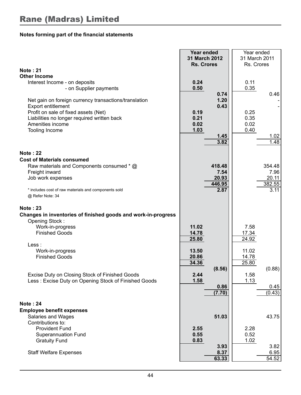|                                                                                                                                                                                                          | Year ended<br>31 March 2012<br><b>Rs. Crores</b>             | Year ended<br>31 March 2011<br>Rs. Crores |                                   |
|----------------------------------------------------------------------------------------------------------------------------------------------------------------------------------------------------------|--------------------------------------------------------------|-------------------------------------------|-----------------------------------|
| <b>Note: 21</b>                                                                                                                                                                                          |                                                              |                                           |                                   |
| <b>Other Income</b>                                                                                                                                                                                      |                                                              |                                           |                                   |
| Interest Income - on deposits<br>- on Supplier payments                                                                                                                                                  | 0.24<br>0.50                                                 | 0.11<br>0.35                              |                                   |
| Net gain on foreign currency transactions/translation<br>Export entitlement<br>Profit on sale of fixed assets (Net)<br>Liabilities no longer required written back<br>Amenities income<br>Tooling Income | 0.74<br>1.20<br>0.43<br>0.19<br>0.21<br>0.02<br>1.03<br>1.45 | 0.25<br>0.35<br>0.02<br>0.40              | 0.46<br>1.02                      |
|                                                                                                                                                                                                          | 3.82                                                         |                                           | 1.48                              |
| <b>Note: 22</b>                                                                                                                                                                                          |                                                              |                                           |                                   |
| <b>Cost of Materials consumed</b>                                                                                                                                                                        |                                                              |                                           |                                   |
| Raw materials and Components consumed * @<br>Freight inward<br>Job work expenses                                                                                                                         | 418.48<br>7.54<br>20.93<br>446.95                            |                                           | 354.48<br>7.96<br>20.11<br>382.55 |
| * includes cost of raw materials and components sold<br>@ Refer Note: 34                                                                                                                                 | 2.87                                                         |                                           | 3.11                              |
| <b>Note: 23</b><br>Changes in inventories of finished goods and work-in-progress<br>Opening Stock:                                                                                                       |                                                              |                                           |                                   |
| Work-in-progress<br><b>Finished Goods</b>                                                                                                                                                                | 11.02<br>14.78<br>25.80                                      | 7.58<br>17.34<br>24.92                    |                                   |
| Less :<br>Work-in-progress<br><b>Finished Goods</b>                                                                                                                                                      | 13.50<br>20.86<br>34.36<br>(8.56)                            | 11.02<br>14.78<br>25.80                   | (0.88)                            |
| Excise Duty on Closing Stock of Finished Goods<br>Less: Excise Duty on Opening Stock of Finished Goods                                                                                                   | 2.44<br>1.58<br>0.86<br>(7.70)                               | 1.58<br>1.13                              | 0.45<br>(0.43)                    |
|                                                                                                                                                                                                          |                                                              |                                           |                                   |
| <b>Note: 24</b>                                                                                                                                                                                          |                                                              |                                           |                                   |
| <b>Employee benefit expenses</b>                                                                                                                                                                         | 51.03                                                        |                                           |                                   |
| Salaries and Wages<br>Contributions to:                                                                                                                                                                  |                                                              |                                           | 43.75                             |
| <b>Provident Fund</b>                                                                                                                                                                                    | 2.55                                                         | 2.28                                      |                                   |
| <b>Superannuation Fund</b>                                                                                                                                                                               | 0.55                                                         | 0.52                                      |                                   |
| <b>Gratuity Fund</b>                                                                                                                                                                                     | 0.83                                                         | 1.02                                      |                                   |
|                                                                                                                                                                                                          | 3.93                                                         |                                           | 3.82                              |
| <b>Staff Welfare Expenses</b>                                                                                                                                                                            | 8.37                                                         |                                           | 6.95                              |
|                                                                                                                                                                                                          | 63.33                                                        |                                           | 54.52                             |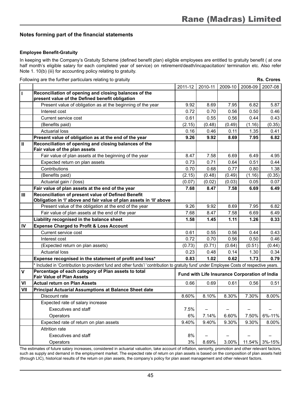#### **Employee Benefit-Gratuity**

In keeping with the Company's Gratuity Scheme (defined benefit plan) eligible employees are entitled to gratuity benefit ( at one half month's eligible salary for each completed year of service) on retirement/death/incapacitation/ termination etc. Also refer Note 1. 10(b) (iii) for accounting policy relating to gratuity.

Following are the further particulars relating to gratuity **Rs. Crores**

|              |                                                                                                                                           | 2011-12 | 2010-11                  |                          | 2009-10   2008-09                             | 2007-08       |
|--------------|-------------------------------------------------------------------------------------------------------------------------------------------|---------|--------------------------|--------------------------|-----------------------------------------------|---------------|
| $\mathbf{I}$ | Reconciliation of opening and closing balances of the                                                                                     |         |                          |                          |                                               |               |
|              | present value of the Defined benefit obligation                                                                                           |         |                          |                          |                                               |               |
|              | Present value of obligation as at the beginning of the year                                                                               | 9.92    | 8.69                     | 7.95                     | 6.82                                          | 5.87          |
|              | Interest cost                                                                                                                             | 0.72    | 0.70                     | 0.56                     | 0.50                                          | 0.46          |
|              | Current service cost                                                                                                                      | 0.61    | 0.55                     | 0.56                     | 0.44                                          | 0.43          |
|              | (Benefits paid)                                                                                                                           | (2.15)  | (0.48)                   | (0.49)                   | (1.16)                                        | (0.35)        |
|              | <b>Actuarial loss</b>                                                                                                                     | 0.16    | 0.46                     | 0.11                     | 1.35                                          | 0.41          |
|              | Present value of obligation as at the end of the year                                                                                     | 9.26    | 9.92                     | 8.69                     | 7.95                                          | 6.82          |
| $\mathbf{u}$ | Reconciliation of opening and closing balances of the<br>Fair value of the plan assets                                                    |         |                          |                          |                                               |               |
|              | Fair value of plan assets at the beginning of the year                                                                                    | 8.47    | 7.58                     | 6.69                     | 6.49                                          | 4.95          |
|              | Expected return on plan assets                                                                                                            | 0.73    | 0.71                     | 0.64                     | 0.51                                          | 0.44          |
|              | Contributions                                                                                                                             | 0.70    | 0.68                     | 0.77                     | 0.80                                          | 1.38          |
|              | (Benefits paid)                                                                                                                           | (2.15)  | (0.48)                   | (0.49)                   | (1.16)                                        | (0.35)        |
|              | Actuarial gain / (loss)                                                                                                                   | (0.07)  | (0.02)                   | (0.03)                   | 0.05                                          | 0.07          |
|              | Fair value of plan assets at the end of the year                                                                                          | 7.68    | 8.47                     | 7.58                     | 6.69                                          | 6.49          |
| Ш            | Reconciliation of present value of Defined Benefit<br>Obligation in 'I' above and fair value of plan assets in 'II' above                 |         |                          |                          |                                               |               |
|              | Present value of the obligation at the end of the year                                                                                    | 9.26    | 9.92                     | 8.69                     | 7.95                                          | 6.82          |
|              | Fair value of plan assets at the end of the year                                                                                          | 7.68    | 8.47                     | 7.58                     | 6.69                                          | 6.49          |
|              | Liability recognised in the balance sheet                                                                                                 | 1.58    | 1.45                     | 1.11                     | 1.26                                          | 0.33          |
| IV           | <b>Expense Charged to Profit &amp; Loss Account</b>                                                                                       |         |                          |                          |                                               |               |
|              | Current service cost                                                                                                                      | 0.61    | 0.55                     | 0.56                     | 0.44                                          | 0.43          |
|              | Interest cost                                                                                                                             | 0.72    | 0.70                     | 0.56                     | 0.50                                          | 0.46          |
|              | (Expected return on plan assets)                                                                                                          | (0.73)  | (0.71)                   | (0.64)                   | (0.51)                                        | (0.44)        |
|              | <b>Actuarial loss</b>                                                                                                                     | 0.23    | 0.48                     | 0.14                     | 1.30                                          | 0.34          |
|              | Expense recognised in the statement of profit and loss*                                                                                   | 0.83    | 1.02                     | 0.62                     | 1.73                                          | 0.79          |
|              | * Included in 'Contribution to provident fund and other funds'/ 'contribution to gratuity fund' under Employee Costs of respective years. |         |                          |                          |                                               |               |
| $\mathbf v$  | Percentage of each category of Plan assets to total<br><b>Fair Value of Plan Assets</b>                                                   |         |                          |                          | Fund with Life Insurance Corporation of India |               |
| VI           | <b>Actual return on Plan Assets</b>                                                                                                       | 0.66    | 0.69                     | 0.61                     | 0.56                                          | 0.51          |
| VII          | Principal Actuarial Assumptions at Balance Sheet date                                                                                     |         |                          |                          |                                               |               |
|              | Discount rate                                                                                                                             | 8.60%   | 8.10%                    | 8.30%                    | 7.30%                                         | 8.00%         |
|              | Expected rate of salary increase                                                                                                          |         |                          |                          |                                               |               |
|              | <b>Executives and staff</b>                                                                                                               | 7.5%    | $\overline{\phantom{0}}$ | $\overline{\phantom{0}}$ | $\equiv$                                      |               |
|              | Operators                                                                                                                                 | 6%      | 7.14%                    | 6.60%                    | 7.50%                                         | 6%-11%        |
|              | Expected rate of return on plan assets                                                                                                    | 9.40%   | 9.40%                    | 9.30%                    | 9.30%                                         | 8.00%         |
|              | <b>Attrition rate</b>                                                                                                                     |         |                          |                          |                                               |               |
|              | <b>Executives and staff</b>                                                                                                               | 8%      |                          |                          |                                               |               |
|              | Operators                                                                                                                                 | 3%      | 8.69%                    | 3.00%                    |                                               | 11.54% 3%-15% |

The estimates of future salary increases, considered in actuarial valuation, take account of inflation, seniority, promotion and other relevant factors, such as supply and demand in the employment market. The expected rate of return on plan assets is based on the composition of plan assets held (through LIC), historical results of the return on plan assets, the company's policy for plan asset management and other relevant factors.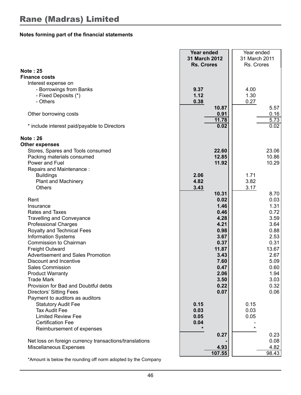|                                                        | Year ended<br>31 March 2012 | Year ended<br>31 March 2011 |  |  |
|--------------------------------------------------------|-----------------------------|-----------------------------|--|--|
|                                                        | <b>Rs. Crores</b>           | Rs. Crores                  |  |  |
| <b>Note: 25</b>                                        |                             |                             |  |  |
| <b>Finance costs</b>                                   |                             |                             |  |  |
| Interest expense on                                    |                             |                             |  |  |
| - Borrowings from Banks                                | 9.37                        | 4.00                        |  |  |
| - Fixed Deposits (*)                                   | 1.12                        | 1.30                        |  |  |
| - Others                                               | 0.38                        | 0.27                        |  |  |
|                                                        | 10.87                       | 5.57                        |  |  |
| Other borrowing costs                                  | 0.91                        | 0.16                        |  |  |
|                                                        | 11.78                       | 5.73                        |  |  |
| * include interest paid/payable to Directors           | 0.02                        | 0.02                        |  |  |
| <b>Note: 26</b>                                        |                             |                             |  |  |
| <b>Other expenses</b>                                  |                             |                             |  |  |
| Stores, Spares and Tools consumed                      | 22.60                       | 23.06                       |  |  |
| Packing materials consumed                             | 12.85                       | 10.86                       |  |  |
| Power and Fuel                                         | 11.92                       | 10.29                       |  |  |
| Repairs and Maintenance:                               |                             |                             |  |  |
| <b>Buildings</b>                                       | 2.06                        | 1.71                        |  |  |
| Plant and Machinery                                    | 4.82                        | 3.82                        |  |  |
| <b>Others</b>                                          | 3.43                        | 3.17                        |  |  |
|                                                        | 10.31<br>0.02               | 8.70                        |  |  |
| Rent<br>Insurance                                      | 1.46                        | 0.03<br>1.31                |  |  |
| Rates and Taxes                                        | 0.46                        | 0.72                        |  |  |
| <b>Travelling and Conveyance</b>                       | 4.28                        | 3.59                        |  |  |
| <b>Professional Charges</b>                            | 4.21                        | 3.64                        |  |  |
| Royalty and Technical Fees                             | 0.98                        | 0.88                        |  |  |
| Information Systems                                    | 3.67                        | 2.53                        |  |  |
| Commission to Chairman                                 | 0.37                        | 0.31                        |  |  |
| Freight Outward                                        | 11.87                       | 13.67                       |  |  |
| Advertisement and Sales Promotion                      | 3.43                        | 2.67                        |  |  |
| Discount and Incentive                                 | 7.60                        | 5.09                        |  |  |
| Sales Commission                                       | 0.47                        | 0.60                        |  |  |
| <b>Product Warranty</b>                                | 2.06                        | 1.94                        |  |  |
| <b>Trade Mark</b>                                      | 3.50                        | 3.03                        |  |  |
| Provision for Bad and Doubtful debts                   | 0.22                        | 0.32                        |  |  |
| Directors' Sitting Fees                                | 0.07                        | 0.06                        |  |  |
| Payment to auditors as auditors                        |                             |                             |  |  |
| <b>Statutory Audit Fee</b>                             | 0.15                        | 0.15                        |  |  |
| Tax Audit Fee                                          | 0.03                        | 0.03                        |  |  |
| <b>Limited Review Fee</b>                              | 0.05                        | 0.05                        |  |  |
| <b>Certification Fee</b>                               | 0.04                        |                             |  |  |
| Reimbursement of expenses                              |                             | $\star$                     |  |  |
|                                                        | 0.27                        | 0.23                        |  |  |
| Net loss on foreign currency transactions/translations |                             | 0.08                        |  |  |
| Miscellaneous Expenses                                 | 4.93                        | 4.82                        |  |  |
|                                                        | 107.55                      | 98.43                       |  |  |

\*Amount is below the rounding off norm adopted by the Company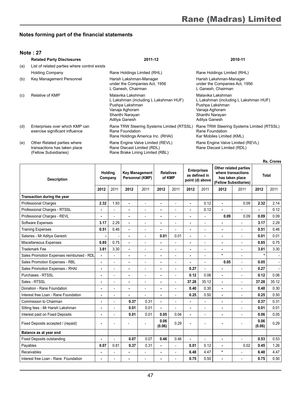#### **Note : 27**

|     | <b>Related Party Disclosures</b>                                                     | 2011-12                                                                                                                             | 2010-11                                                                                                                             |
|-----|--------------------------------------------------------------------------------------|-------------------------------------------------------------------------------------------------------------------------------------|-------------------------------------------------------------------------------------------------------------------------------------|
| (a) | List of related parties where control exists                                         |                                                                                                                                     |                                                                                                                                     |
|     | <b>Holding Company</b>                                                               | Rane Holdings Limited (RHL)                                                                                                         | Rane Holdings Limited (RHL)                                                                                                         |
| (b) | Key Management Personnel                                                             | Harish Lakshman-Manager<br>under the Companies Act, 1956<br>L Ganesh, Chairman                                                      | Harish Lakshman-Manager<br>under the Companies Act, 1956<br>L Ganesh, Chairman                                                      |
| (c) | Relative of KMP                                                                      | Malavika Lakshman<br>L Lakshman (including L Lakshman HUF)<br>Pushpa Lakshman<br>Vanaja Aghoram<br>Shanthi Narayan<br>Aditya Ganesh | Malavika Lakshman<br>L Lakshman (including L Lakshman HUF)<br>Pushpa Lakshman<br>Vanaja Aghoram<br>Shanthi Narayan<br>Aditya Ganesh |
| (d) | Enterprises over which KMP can<br>exercise significant influence                     | Rane TRW Steering Systems Limited (RTSSL)<br>Rane Foundation<br>Rane Holdings America Inc. (RHAI)                                   | Rane TRW Steering Systems Limited (RTSSL)<br>Rane Foundation<br>Kar Mobiles Limited (KML)                                           |
| (e) | Other Related parties where<br>transactions has taken place<br>(Fellow Subsidiaries) | Rane Engine Valve Limited (REVL)<br>Rane Diecast Limited (RDL)<br>Rane Brake Lining Limited (RBL)                                   | Rane Engine Valve Limited (REVL)<br>Rane Diecast Limited (RDL)                                                                      |

|                                           |                |                          |                |                                          |                |                            |                |                                                        |                |                                                                                         |                | <b>Rs. Crores</b> |  |
|-------------------------------------------|----------------|--------------------------|----------------|------------------------------------------|----------------|----------------------------|----------------|--------------------------------------------------------|----------------|-----------------------------------------------------------------------------------------|----------------|-------------------|--|
| <b>Description</b>                        |                | Holdina<br>Company       |                | <b>Key Management</b><br>Personnel (KMP) |                | <b>Relatives</b><br>of KMP |                | <b>Enterprises</b><br>as defined in<br>point (d) above |                | Other related parties<br>where transactions<br>has taken place<br>(Fellow Subsidiaries) |                | <b>Total</b>      |  |
|                                           | 2012           | 2011                     | 2012           | 2011                                     | 2012           | 2011                       | 2012           | 2011                                                   | 2012           | 2011                                                                                    | 2012           | 2011              |  |
| Transaction during the year               |                |                          |                |                                          |                |                            |                |                                                        |                |                                                                                         |                |                   |  |
| <b>Professional Charges</b>               | 2.32           | 1.93                     | ä,             | $\overline{a}$                           | ä,             | ÷,                         | ÷              | 0.12                                                   |                | 0.09                                                                                    | 2.32           | 2.14              |  |
| Professional Charges - RTSSL              | ٠              | $\overline{a}$           |                |                                          | ٠              | ä,                         |                | 0.12                                                   |                |                                                                                         |                | 0.12              |  |
| Professional Charges - REVL               | ä,             | $\overline{a}$           | ä,             | $\overline{a}$                           | ٠              | ÷,                         | ۰              | Ĭ.                                                     | 0.09           | 0.09                                                                                    | 0.09           | 0.09              |  |
| Software Expenses                         | 3.17           | 2.29                     |                |                                          | ٠              | ÷,                         |                |                                                        |                |                                                                                         | 3.17           | 2.29              |  |
| <b>Training Expenses</b>                  | 0.51           | 0.46                     | $\blacksquare$ | ٠                                        | $\blacksquare$ | L,                         | $\blacksquare$ | ÷.                                                     |                | ÷,                                                                                      | 0.51           | 0.46              |  |
| Salaries - Mr Aditya Ganesh               |                |                          |                |                                          | 0.01           | 0.01                       | ÷              |                                                        |                |                                                                                         | 0.01           | 0.01              |  |
| Miscellaneous Expenses                    | 0.85           | 0.75                     | ÷              |                                          | ٠              | ä,                         | ÷              | $\overline{a}$                                         | $\blacksquare$ | Ĭ.                                                                                      | 0.85           | 0.75              |  |
| <b>Trademark Fee</b>                      | 3.81           | 3.30                     | ä,             | $\overline{a}$                           | $\blacksquare$ | ÷,                         | ÷              | $\overline{a}$                                         | $\blacksquare$ | L,                                                                                      | 3.81           | 3.30              |  |
| Sales Promotion Expenses reimbursed - RDL | ٠              | $\overline{\phantom{0}}$ |                |                                          | ٠              | ÷,                         |                |                                                        | ÷              |                                                                                         |                |                   |  |
| Sales Promotion Expenses - RBL            | ٠              | $\overline{a}$           | Ĭ.             |                                          | ٠              | ÷,                         |                | ÷,                                                     | 0.05           | L,                                                                                      | 0.05           | $\overline{a}$    |  |
| Sales Promotion Expenses - RHAI           | ٠              | $\overline{a}$           |                |                                          |                | L                          | 0.27           |                                                        |                |                                                                                         | 0.27           |                   |  |
| Purchases - RTSSL                         | ۰              | $\overline{a}$           | ×,             | ٠                                        | ٠              | ä,                         | 0.12           | 0.06                                                   | ٠              | ÷                                                                                       | 0.12           | 0.06              |  |
| Sales - RTSSL                             | ٠              | L.                       | ÷              |                                          | $\blacksquare$ | L,                         | 37.28          | 35.12                                                  |                | J.                                                                                      | 37.28          | 35.12             |  |
| Donation - Rane Foundation                | ٠              | L.                       | ÷              | $\overline{a}$                           | ä,             | L,                         | 0.40           | 0.30                                                   | $\blacksquare$ | J.                                                                                      | 0.40           | 0.30              |  |
| Interest free Loan - Rane Foundation      | $\blacksquare$ | $\overline{a}$           |                |                                          | $\blacksquare$ | ÷,                         | 0.25           | 0.50                                                   |                | Ĭ.                                                                                      | 0.25           | 0.50              |  |
| Commission to Chairman                    | ٠              | $\overline{a}$           | 0.37           | 0.31                                     | ä,             | ÷,                         |                |                                                        |                |                                                                                         | 0.37           | 0.31              |  |
| Sitting fees - Mr Harish Lakshman         | ٠              | $\overline{a}$           | 0.01           | 0.01                                     | ä,             | ÷,                         | ۰              | ÷.                                                     |                | L,                                                                                      | 0.01           | 0.01              |  |
| Interest paid on Fixed Deposits           | ÷              | $\overline{a}$           | 0.01           | 0.01                                     | 0.05           | 0.04                       |                |                                                        |                |                                                                                         | 0.06           | 0.05              |  |
| Fixed Deposits accepted / (repaid)        | $\blacksquare$ |                          |                |                                          | 0.06<br>(0.06) | 0.29                       |                |                                                        |                | ÷.                                                                                      | 0.06<br>(0.06) | 0.29              |  |
| Balance as at year end                    |                |                          |                |                                          |                |                            |                |                                                        |                |                                                                                         |                |                   |  |
| <b>Fixed Deposits outstanding</b>         | ÷              | L.                       | 0.07           | 0.07                                     | 0.46           | 0.46                       |                | ÷.                                                     |                |                                                                                         | 0.53           | 0.53              |  |
| Payables                                  | 0.07           | 0.81                     | 0.37           | 0.31                                     | ٠              | L,                         | 0.01           | 0.12                                                   |                | 0.02                                                                                    | 0.45           | 1.26              |  |
| Receivables                               |                |                          |                |                                          |                | L,                         | 6.48           | 4.47                                                   | $\star$        |                                                                                         | 6.48           | 4.47              |  |
| Interest free Loan - Rane Foundation      | ÷              |                          |                |                                          |                |                            | 0.75           | 0.50                                                   |                |                                                                                         | 0.75           | 0.50              |  |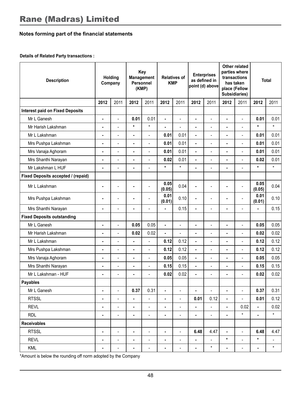#### **Details of Related Party transactions :**

| <b>Description</b>                     |                | Key<br><b>Holding</b><br>Company<br>(KMP) |                | <b>Relatives of</b><br><b>KMP</b> |                | <b>Management</b><br>Personnel |                |                          | <b>Enterprises</b><br>as defined in<br>point (d) above |                | Other related<br>parties where<br>transactions<br>has taken<br>place (Fellow<br>Subsidiaries) |         |  |  | <b>Total</b> |
|----------------------------------------|----------------|-------------------------------------------|----------------|-----------------------------------|----------------|--------------------------------|----------------|--------------------------|--------------------------------------------------------|----------------|-----------------------------------------------------------------------------------------------|---------|--|--|--------------|
|                                        | 2012           | 2011                                      | 2012           | 2011                              | 2012           | 2011                           | 2012           | 2011                     | 2012                                                   | 2011           | 2012                                                                                          | 2011    |  |  |              |
| <b>Interest paid on Fixed Deposits</b> |                |                                           |                |                                   |                |                                |                |                          |                                                        |                |                                                                                               |         |  |  |              |
| Mr L Ganesh                            | ä,             | $\overline{a}$                            | 0.01           | 0.01                              | L.             | $\overline{a}$                 | ä,             | $\overline{a}$           | ÷,                                                     | $\overline{a}$ | 0.01                                                                                          | 0.01    |  |  |              |
| Mr Harish Lakshman                     | Ĭ.             | $\overline{a}$                            | $\star$        | $\star$                           | ä,             | $\overline{a}$                 | $\blacksquare$ | $\frac{1}{2}$            | ٠                                                      | $\frac{1}{2}$  | $\star$                                                                                       | $\star$ |  |  |              |
| Mr L Lakshman                          | ä,             | $\frac{1}{2}$                             | ä,             | $\overline{a}$                    | 0.01           | 0.01                           | ä,             | $\overline{a}$           | ä,                                                     | L,             | 0.01                                                                                          | 0.01    |  |  |              |
| Mrs Pushpa Lakshman                    | ×.             | $\overline{a}$                            | ä,             | $\overline{a}$                    | 0.01           | 0.01                           | ä,             | $\overline{a}$           | ä,                                                     | $\overline{a}$ | 0.01                                                                                          | 0.01    |  |  |              |
| Mrs Vanaja Aghoram                     |                |                                           | ä,             |                                   | 0.01           | 0.01                           | ä,             |                          |                                                        |                | 0.01                                                                                          | 0.01    |  |  |              |
| Mrs Shanthi Narayan                    | ä,             |                                           | ä,             |                                   | 0.02           | 0.01                           | $\blacksquare$ |                          | ä,                                                     |                | 0.02                                                                                          | 0.01    |  |  |              |
| Mr Lakshman L HUF                      | ä,             | $\overline{\phantom{0}}$                  | ÷              | $\overline{\phantom{a}}$          | $\star$        | $\star$                        | L              | $\overline{\phantom{a}}$ | l,                                                     | $\overline{a}$ | $\star$                                                                                       | $\star$ |  |  |              |
| Fixed Deposits accepted / (repaid)     |                |                                           |                |                                   |                |                                |                |                          |                                                        |                |                                                                                               |         |  |  |              |
| Mr L Lakshman                          |                | $\overline{a}$                            | l.             | $\overline{a}$                    | 0.05<br>(0.05) | 0.04                           | L.             | $\overline{a}$           | ä,                                                     | $\overline{a}$ | 0.05<br>(0.05)                                                                                | 0.04    |  |  |              |
| Mrs Pushpa Lakshman                    | ä,             | $\overline{a}$                            | ä,             | $\overline{a}$                    | 0.01<br>(0.01) | 0.10                           | ä,             | $\overline{a}$           | ä,                                                     | $\overline{a}$ | 0.01<br>(0.01)                                                                                | 0.10    |  |  |              |
| Mrs Shanthi Narayan                    | ä,             | $\overline{a}$                            | ä,             | $\overline{a}$                    |                | 0.15                           | ä,             | $\overline{a}$           | ä,                                                     |                | ä,                                                                                            | 0.15    |  |  |              |
| <b>Fixed Deposits outstanding</b>      |                |                                           |                |                                   |                |                                |                |                          |                                                        |                |                                                                                               |         |  |  |              |
| Mr L Ganesh                            |                |                                           | 0.05           | 0.05                              |                | $\overline{a}$                 | ä,             |                          | ä,                                                     |                | 0.05                                                                                          | 0.05    |  |  |              |
| Mr Harish Lakshman                     | ä,             |                                           | 0.02           | 0.02                              | ä,             | $\overline{a}$                 | ä,             |                          | l,                                                     |                | 0.02                                                                                          | 0.02    |  |  |              |
| Mr L Lakshman                          | ä,             | $\overline{\phantom{0}}$                  | ä,             | $\overline{a}$                    | 0.12           | 0.12                           | ä,             | $\overline{\phantom{a}}$ | ä,                                                     | Ĭ.             | 0.12                                                                                          | 0.12    |  |  |              |
| Mrs Pushpa Lakshman                    | ÷.             | $\overline{a}$                            | ٠              | $\overline{\phantom{a}}$          | 0.12           | 0.12                           | $\blacksquare$ | $\overline{a}$           | ÷,                                                     | $\overline{a}$ | 0.12                                                                                          | 0.12    |  |  |              |
| Mrs Vanaja Aghoram                     | ä,             | $\overline{a}$                            | ä,             | $\overline{a}$                    | 0.05           | 0.05                           | L,             | $\overline{a}$           | L.                                                     | $\overline{a}$ | 0.05                                                                                          | 0.05    |  |  |              |
| Mrs Shanthi Narayan                    | ä,             | $\overline{a}$                            | ä,             | $\overline{a}$                    | 0.15           | 0.15                           | L,             | $\overline{a}$           | ä,                                                     |                | 0.15                                                                                          | 0.15    |  |  |              |
| Mr L Lakshman - HUF                    | ä,             | $\overline{a}$                            | $\blacksquare$ | $\overline{a}$                    | 0.02           | 0.02                           | ä,             | $\frac{1}{2}$            | ä,                                                     | $\frac{1}{2}$  | 0.02                                                                                          | 0.02    |  |  |              |
| <b>Payables</b>                        |                |                                           |                |                                   |                |                                |                |                          |                                                        |                |                                                                                               |         |  |  |              |
| Mr L Ganesh                            |                | $\overline{a}$                            | 0.37           | 0.31                              | ä,             | $\overline{a}$                 | L,             | $\frac{1}{2}$            | ä,                                                     |                | 0.37                                                                                          | 0.31    |  |  |              |
| <b>RTSSL</b>                           | ä,             | $\overline{a}$                            | ä,             |                                   | ä,             | $\overline{a}$                 | 0.01           | 0.12                     |                                                        |                | 0.01                                                                                          | 0.12    |  |  |              |
| <b>REVL</b>                            | ä,             | $\overline{a}$                            | ÷              | $\overline{\phantom{a}}$          | $\blacksquare$ | $\qquad \qquad \blacksquare$   | Ĭ.             | $\overline{\phantom{a}}$ | ٠                                                      | 0.02           | Ĭ.                                                                                            | 0.02    |  |  |              |
| <b>RDL</b>                             | ÷.             | $\overline{\phantom{a}}$                  | ä,             | $\blacksquare$                    | $\blacksquare$ | $\overline{\phantom{a}}$       | ä,             | $\blacksquare$           | ä,                                                     | $\star$        | $\blacksquare$                                                                                | $\star$ |  |  |              |
| <b>Receivables</b>                     |                |                                           |                |                                   |                |                                |                |                          |                                                        |                |                                                                                               |         |  |  |              |
| <b>RTSSL</b>                           | ä,             | $\overline{a}$                            | ÷.             | $\frac{1}{2}$                     | ä,             | $\overline{\phantom{a}}$       | 6.48           | 4.47                     | ÷.                                                     | $\frac{1}{2}$  | 6.48                                                                                          | 4.47    |  |  |              |
| <b>REVL</b>                            |                | $\overline{a}$                            | ÷              | $\overline{a}$                    | ä,             | $\overline{a}$                 | l,             | $\frac{1}{2}$            | $\star$                                                | l,             | $\star$                                                                                       |         |  |  |              |
| <b>KML</b>                             | $\overline{a}$ | $\overline{a}$                            | ٠              | $\overline{a}$                    | ٠              | $\overline{a}$                 | ä,             | $\star$                  | ٠                                                      | L,             | ÷                                                                                             | $\star$ |  |  |              |

\*Amount is below the rounding off norm adopted by the Company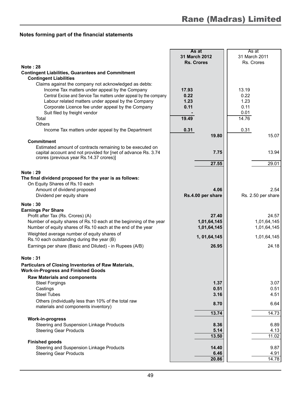|                                                                                                    | As at             | As at              |  |  |
|----------------------------------------------------------------------------------------------------|-------------------|--------------------|--|--|
|                                                                                                    | 31 March 2012     | 31 March 2011      |  |  |
|                                                                                                    | <b>Rs. Crores</b> | Rs. Crores         |  |  |
| <b>Note: 28</b>                                                                                    |                   |                    |  |  |
| <b>Contingent Liabilities, Guarantees and Commitment</b><br><b>Contingent Liabilities</b>          |                   |                    |  |  |
| Claims against the company not acknowledged as debts:                                              |                   |                    |  |  |
| Income Tax matters under appeal by the Company                                                     | 17.93             | 13.19              |  |  |
| Central Excise and Service Tax matters under appeal by the company                                 | 0.22              | 0.22               |  |  |
| Labour related matters under appeal by the Company                                                 | 1.23              | 1.23               |  |  |
| Corporate Licence fee under appeal by the Company                                                  | 0.11              | 0.11               |  |  |
| Suit filed by freight vendor                                                                       |                   | 0.01               |  |  |
| Total                                                                                              | 19.49             | 14.76              |  |  |
| <b>Others</b>                                                                                      |                   |                    |  |  |
| Income Tax matters under appeal by the Department                                                  | 0.31              | 0.31               |  |  |
|                                                                                                    | 19.80             | 15.07              |  |  |
| <b>Commitment</b>                                                                                  |                   |                    |  |  |
| Estimated amount of contracts remaining to be executed on                                          |                   |                    |  |  |
| capital account and not provided for [net of advance Rs. 3.74                                      | 7.75              | 13.94              |  |  |
| crores (previous year Rs.14.37 crores)]                                                            |                   |                    |  |  |
|                                                                                                    | 27.55             | 29.01              |  |  |
|                                                                                                    |                   |                    |  |  |
| <b>Note: 29</b>                                                                                    |                   |                    |  |  |
| The final dividend proposed for the year is as follows:                                            |                   |                    |  |  |
| On Equity Shares of Rs.10 each                                                                     |                   |                    |  |  |
| Amount of dividend proposed                                                                        | 4.06              | 2.54               |  |  |
| Dividend per equity share                                                                          | Rs.4.00 per share | Rs. 2.50 per share |  |  |
| <b>Note: 30</b>                                                                                    |                   |                    |  |  |
| <b>Earnings Per Share</b>                                                                          |                   |                    |  |  |
| Profit after Tax (Rs. Crores) (A)                                                                  | 27.40             | 24.57              |  |  |
| Number of equity shares of Rs.10 each at the beginning of the year                                 | 1,01,64,145       | 1,01,64,145        |  |  |
| Number of equity shares of Rs.10 each at the end of the year                                       | 1,01,64,145       | 1,01,64,145        |  |  |
| Weighted average number of equity shares of                                                        |                   |                    |  |  |
| Rs.10 each outstanding during the year (B)                                                         | 1, 01, 64, 145    | 1,01,64,145        |  |  |
| Earnings per share (Basic and Diluted) - in Rupees (A/B)                                           | 26.95             | 24.18              |  |  |
|                                                                                                    |                   |                    |  |  |
| <b>Note: 31</b>                                                                                    |                   |                    |  |  |
|                                                                                                    |                   |                    |  |  |
| Particulars of Closing Inventories of Raw Materials,<br><b>Work-in-Progress and Finished Goods</b> |                   |                    |  |  |
| <b>Raw Materials and components</b>                                                                |                   |                    |  |  |
| <b>Steel Forgings</b>                                                                              | 1.37              | 3.07               |  |  |
| Castings                                                                                           | 0.51              | 0.51               |  |  |
| <b>Steel Tubes</b>                                                                                 | 3.16              | 4.51               |  |  |
| Others (individually less than 10% of the total raw                                                | 8.70              | 6.64               |  |  |
| materials and components inventory)                                                                |                   |                    |  |  |
|                                                                                                    | 13.74             | 14.73              |  |  |
| <b>Work-in-progress</b>                                                                            |                   |                    |  |  |
| Steering and Suspension Linkage Products                                                           | 8.36              | 6.89               |  |  |
| <b>Steering Gear Products</b>                                                                      | 5.14              | 4.13               |  |  |
|                                                                                                    | 13.50             | 11.02              |  |  |
| <b>Finished goods</b>                                                                              |                   |                    |  |  |
| Steering and Suspension Linkage Products                                                           | 14.40             | 9.87               |  |  |
| <b>Steering Gear Products</b>                                                                      | 6.46              | 4.91               |  |  |
|                                                                                                    | 20.86             | 14.78              |  |  |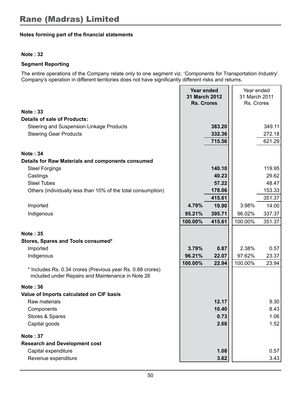#### **Note : 32**

#### **Segment Reporting**

The entire operations of the Company relate only to one segment viz. 'Components for Transportation Industry'. Company's operation in different territories does not have significantly different risks and returns.

|                                                                                                                 | Year ended<br>31 March 2012<br><b>Rs. Crores</b> |        | Year ended<br>31 March 2011<br>Rs. Crores |        |
|-----------------------------------------------------------------------------------------------------------------|--------------------------------------------------|--------|-------------------------------------------|--------|
| Note: 33                                                                                                        |                                                  |        |                                           |        |
| Details of sale of Products:                                                                                    |                                                  |        |                                           |        |
| Steering and Suspension Linkage Products                                                                        |                                                  | 383.20 |                                           | 349.11 |
| <b>Steering Gear Products</b>                                                                                   |                                                  | 332.36 |                                           | 272.18 |
|                                                                                                                 |                                                  | 715.56 |                                           | 621.29 |
| <b>Note: 34</b>                                                                                                 |                                                  |        |                                           |        |
| Details for Raw Materials and components consumed                                                               |                                                  |        |                                           |        |
| <b>Steel Forgings</b>                                                                                           |                                                  | 140.10 |                                           | 119.95 |
| Castings                                                                                                        |                                                  | 40.23  |                                           | 29.62  |
| <b>Steel Tubes</b>                                                                                              |                                                  | 57.22  |                                           | 48.47  |
| Others (individually less than 10% of the total consumption)                                                    |                                                  | 178.06 |                                           | 153.33 |
|                                                                                                                 |                                                  | 415.61 |                                           | 351.37 |
| Imported                                                                                                        | 4.79%                                            | 19.90  | 3.98%                                     | 14.00  |
| Indigenous                                                                                                      | 95.21%                                           | 395.71 | 96.02%                                    | 337.37 |
|                                                                                                                 | 100.00%                                          | 415.61 | 100.00%                                   | 351.37 |
| <b>Note: 35</b>                                                                                                 |                                                  |        |                                           |        |
| Stores, Spares and Tools consumed*                                                                              |                                                  |        |                                           |        |
| Imported                                                                                                        | 3.79%                                            | 0.87   | 2.38%                                     | 0.57   |
| Indigenous                                                                                                      | 96.21%                                           | 22.07  | 97.62%                                    | 23.37  |
|                                                                                                                 | 100.00%                                          | 22.94  | 100.00%                                   | 23.94  |
| * Includes Rs. 0.34 crores (Previous year Rs. 0.88 crores)<br>included under Repairs and Maintenance in Note 26 |                                                  |        |                                           |        |
| Note: 36                                                                                                        |                                                  |        |                                           |        |
| Value of Imports calculated on CIF basis                                                                        |                                                  |        |                                           |        |
| Raw materials                                                                                                   |                                                  | 12.17  |                                           | 9.30   |
| Components                                                                                                      |                                                  | 10.40  |                                           | 8.43   |
| Stores & Spares                                                                                                 |                                                  | 0.73   |                                           | 1.06   |
| Capital goods                                                                                                   |                                                  | 2.68   |                                           | 1.52   |
| <b>Note: 37</b>                                                                                                 |                                                  |        |                                           |        |
| <b>Research and Development cost</b>                                                                            |                                                  |        |                                           |        |
| Capital expenditure                                                                                             |                                                  | 1.08   |                                           | 0.57   |
| Revenue expenditure                                                                                             |                                                  | 3.62   |                                           | 3.43   |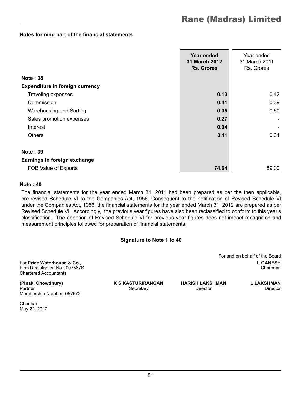|                                        | Year ended<br>31 March 2012<br><b>Rs. Crores</b> | Year ended<br>31 March 2011<br>Rs. Crores |
|----------------------------------------|--------------------------------------------------|-------------------------------------------|
| <b>Note: 38</b>                        |                                                  |                                           |
| <b>Expenditure in foreign currency</b> |                                                  |                                           |
| Traveling expenses                     | 0.13                                             | 0.42                                      |
| Commission                             | 0.41                                             | 0.39                                      |
| Warehousing and Sorting                | 0.05                                             | 0.60                                      |
| Sales promotion expenses               | 0.27                                             |                                           |
| Interest                               | 0.04                                             |                                           |
| <b>Others</b>                          | 0.11                                             | 0.34                                      |
|                                        |                                                  |                                           |
| <b>Note: 39</b>                        |                                                  |                                           |
| Earnings in foreign exchange           |                                                  |                                           |
| FOB Value of Exports                   | 74.64                                            | 89.00                                     |

#### **Note : 40**

The financial statements for the year ended March 31, 2011 had been prepared as per the then applicable, pre-revised Schedule VI to the Companies Act, 1956. Consequent to the notification of Revised Schedule VI under the Companies Act, 1956, the financial statements for the year ended March 31, 2012 are prepared as per Revised Schedule VI. Accordingly, the previous year figures have also been reclassified to conform to this year's classification. The adoption of Revised Schedule VI for previous year figures does not impact recognition and measurement principles followed for preparation of financial statements.

#### **Signature to Note 1 to 40**

For **Price Waterhouse & Co., L GANESH** Firm Registration No.: 007567S Chartered Accountants

For and on behalf of the Board

**(Pinaki Chowdhury) K S KASTURIRANGAN HARISH LAKSHMAN L LAKSHMAN** Partner Secretary Director Director Director Director Director Director Membership Number: 057572

Chennai May 22, 2012